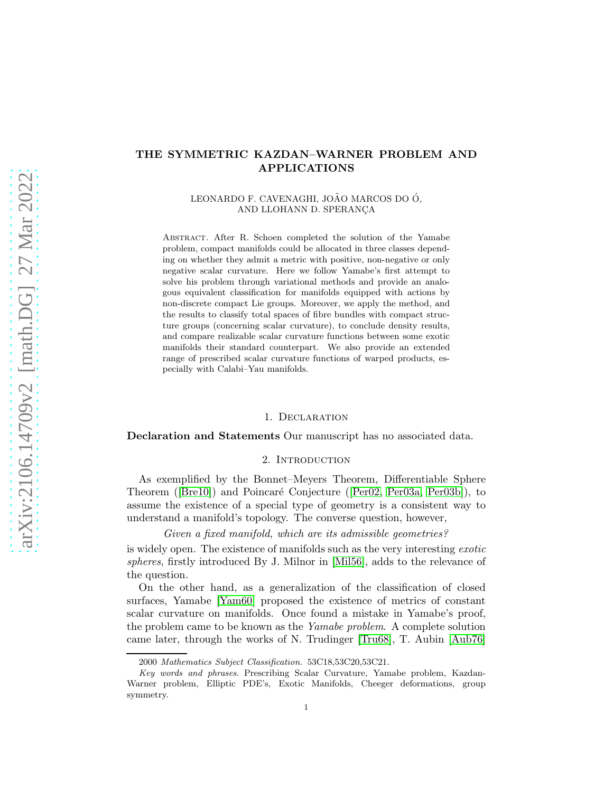# THE SYMMETRIC KAZDAN–WARNER PROBLEM AND APPLICATIONS

LEONARDO F. CAVENAGHI, JOÃO MARCOS DO Ó, AND LLOHANN D. SPERANÇA

Abstract. After R. Schoen completed the solution of the Yamabe problem, compact manifolds could be allocated in three classes depending on whether they admit a metric with positive, non-negative or only negative scalar curvature. Here we follow Yamabe's first attempt to solve his problem through variational methods and provide an analogous equivalent classification for manifolds equipped with actions by non-discrete compact Lie groups. Moreover, we apply the method, and the results to classify total spaces of fibre bundles with compact structure groups (concerning scalar curvature), to conclude density results, and compare realizable scalar curvature functions between some exotic manifolds their standard counterpart. We also provide an extended range of prescribed scalar curvature functions of warped products, especially with Calabi–Yau manifolds.

#### 1. Declaration

Declaration and Statements Our manuscript has no associated data.

### 2. INTRODUCTION

As exemplified by the Bonnet–Meyers Theorem, Differentiable Sphere Theorem([\[Bre10\]](#page-35-0)) and Poincaré Conjecture ([\[Per02,](#page-36-0) [Per03a,](#page-36-1) [Per03b\]](#page-36-2)), to assume the existence of a special type of geometry is a consistent way to understand a manifold's topology. The converse question, however,

Given a fixed manifold, which are its admissible geometries?

is widely open. The existence of manifolds such as the very interesting exotic spheres, firstly introduced By J. Milnor in [\[Mil56\]](#page-36-3), adds to the relevance of the question.

On the other hand, as a generalization of the classification of closed surfaces, Yamabe [\[Yam60\]](#page-36-4) proposed the existence of metrics of constant scalar curvature on manifolds. Once found a mistake in Yamabe's proof, the problem came to be known as the Yamabe problem. A complete solution came later, through the works of N. Trudinger [\[Tru68\]](#page-36-5), T. Aubin [\[Aub76\]](#page-34-0)

<sup>2000</sup> Mathematics Subject Classification. 53C18,53C20,53C21.

Key words and phrases. Prescribing Scalar Curvature, Yamabe problem, Kazdan-Warner problem, Elliptic PDE's, Exotic Manifolds, Cheeger deformations, group symmetry.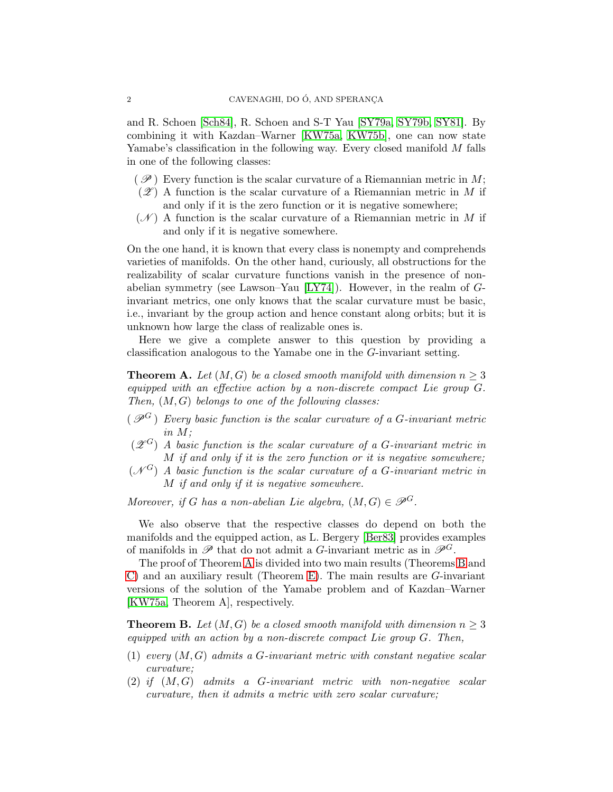and R. Schoen [\[Sch84\]](#page-36-6), R. Schoen and S-T Yau [\[SY79a,](#page-36-7) [SY79b,](#page-36-8) [SY81\]](#page-36-9). By combining it with Kazdan–Warner [\[KW75a,](#page-36-10) [KW75b\]](#page-36-11), one can now state Yamabe's classification in the following way. Every closed manifold M falls in one of the following classes:

- $(\mathscr{P})$  Every function is the scalar curvature of a Riemannian metric in M;
- $(\mathscr{Z})$  A function is the scalar curvature of a Riemannian metric in M if and only if it is the zero function or it is negative somewhere;
- $(\mathscr{N})$  A function is the scalar curvature of a Riemannian metric in M if and only if it is negative somewhere.

On the one hand, it is known that every class is nonempty and comprehends varieties of manifolds. On the other hand, curiously, all obstructions for the realizability of scalar curvature functions vanish in the presence of nonabelian symmetry (see Lawson–Yau  $[LY74]$ ). However, in the realm of  $G$ invariant metrics, one only knows that the scalar curvature must be basic, i.e., invariant by the group action and hence constant along orbits; but it is unknown how large the class of realizable ones is.

Here we give a complete answer to this question by providing a classification analogous to the Yamabe one in the G-invariant setting.

<span id="page-1-0"></span>**Theorem A.** Let  $(M, G)$  be a closed smooth manifold with dimension  $n \geq 3$ equipped with an effective action by a non-discrete compact Lie group G. Then,  $(M, G)$  belongs to one of the following classes:

- $(\mathscr{P}^G)$  Every basic function is the scalar curvature of a G-invariant metric in M;
- $(\mathscr{Z}^G)$  A basic function is the scalar curvature of a G-invariant metric in  $M$  if and only if it is the zero function or it is negative somewhere;
- $(\mathcal{N}^G)$  A basic function is the scalar curvature of a G-invariant metric in M if and only if it is negative somewhere.

Moreover, if G has a non-abelian Lie algebra,  $(M, G) \in \mathscr{P}^G$ .

We also observe that the respective classes do depend on both the manifolds and the equipped action, as L. Bergery [\[Ber83\]](#page-35-1) provides examples of manifolds in  $\mathscr{P}$  that do not admit a G-invariant metric as in  $\mathscr{P}^G$ .

The proof of Theorem [A](#page-1-0) is divided into two main results (Theorems [B](#page-1-1) and [C\)](#page-2-0) and an auxiliary result (Theorem [E\)](#page-3-0). The main results are G-invariant versions of the solution of the Yamabe problem and of Kazdan–Warner [\[KW75a,](#page-36-10) Theorem A], respectively.

<span id="page-1-1"></span>**Theorem B.** Let  $(M, G)$  be a closed smooth manifold with dimension  $n \geq 3$ equipped with an action by a non-discrete compact Lie group  $G$ . Then,

- (1) every  $(M, G)$  admits a G-invariant metric with constant negative scalar curvature;
- $(2)$  if  $(M, G)$  admits a G-invariant metric with non-negative scalar curvature, then it admits a metric with zero scalar curvature;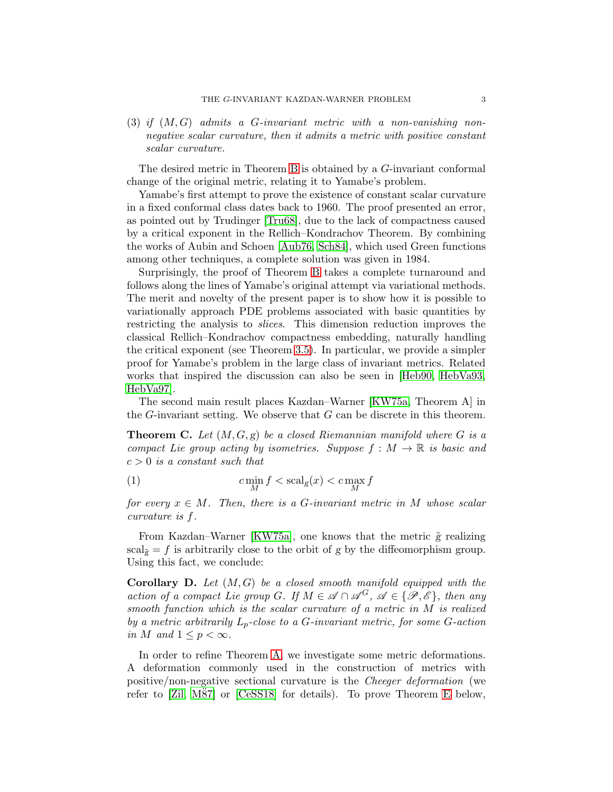(3) if  $(M, G)$  admits a G-invariant metric with a non-vanishing nonnegative scalar curvature, then it admits a metric with positive constant scalar curvature.

The desired metric in Theorem [B](#page-1-1) is obtained by a G-invariant conformal change of the original metric, relating it to Yamabe's problem.

Yamabe's first attempt to prove the existence of constant scalar curvature in a fixed conformal class dates back to 1960. The proof presented an error, as pointed out by Trudinger [\[Tru68\]](#page-36-5), due to the lack of compactness caused by a critical exponent in the Rellich–Kondrachov Theorem. By combining the works of Aubin and Schoen [\[Aub76,](#page-34-0) [Sch84\]](#page-36-6), which used Green functions among other techniques, a complete solution was given in 1984.

Surprisingly, the proof of Theorem [B](#page-1-1) takes a complete turnaround and follows along the lines of Yamabe's original attempt via variational methods. The merit and novelty of the present paper is to show how it is possible to variationally approach PDE problems associated with basic quantities by restricting the analysis to slices. This dimension reduction improves the classical Rellich–Kondrachov compactness embedding, naturally handling the critical exponent (see Theorem [3.5\)](#page-12-0). In particular, we provide a simpler proof for Yamabe's problem in the large class of invariant metrics. Related works that inspired the discussion can also be seen in [\[Heb90,](#page-35-2) [HebVa93,](#page-35-3) [HebVa97\]](#page-35-4).

The second main result places Kazdan–Warner [\[KW75a,](#page-36-10) Theorem A] in the  $G$ -invariant setting. We observe that  $G$  can be discrete in this theorem.

<span id="page-2-0"></span>**Theorem C.** Let  $(M, G, g)$  be a closed Riemannian manifold where G is a compact Lie group acting by isometries. Suppose  $f : M \to \mathbb{R}$  is basic and  $c > 0$  is a constant such that

(1)  $c \min_M f < \operatorname{scal}_g(x) < c \max_M f$ 

for every  $x \in M$ . Then, there is a G-invariant metric in M whose scalar curvature is f.

From Kazdan–Warner [\[KW75a\]](#page-36-10), one knows that the metric  $\tilde{g}$  realizing scal $_{\tilde{g}} = f$  is arbitrarily close to the orbit of g by the diffeomorphism group. Using this fact, we conclude:

<span id="page-2-1"></span>**Corollary D.** Let  $(M, G)$  be a closed smooth manifold equipped with the action of a compact Lie group G. If  $M \in \mathscr{A} \cap \mathscr{A}^G$ ,  $\mathscr{A} \in \{\mathscr{P}, \mathscr{E}\}\$ , then any smooth function which is the scalar curvature of a metric in M is realized by a metric arbitrarily  $L_p$ -close to a G-invariant metric, for some G-action in M and  $1 \leq p < \infty$ .

In order to refine Theorem [A,](#page-1-0) we investigate some metric deformations. A deformation commonly used in the construction of metrics with positive/non-negative sectional curvature is the Cheeger deformation (we refer to  $\lbrack Zil, M87 \rbrack$  or  $\lbrack \text{CeSS18} \rbrack$  for details). To prove Theorem [E](#page-3-0) below,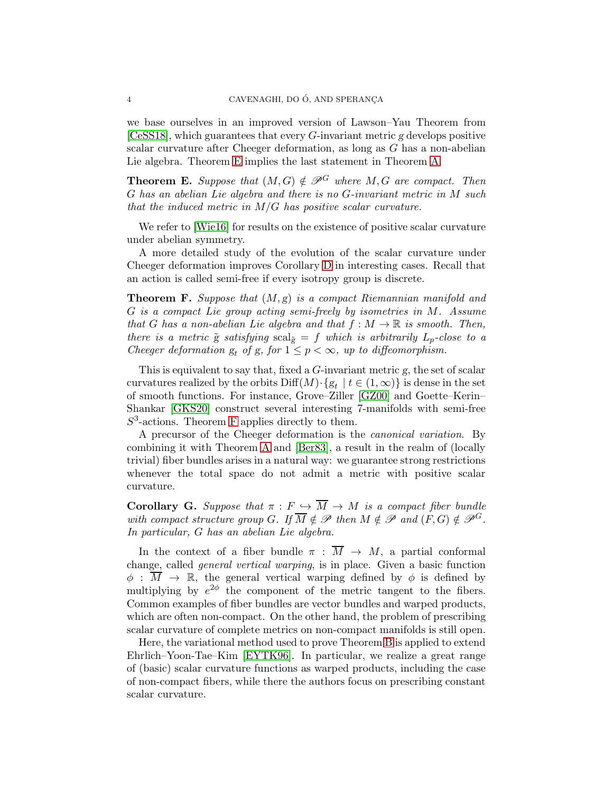we base ourselves in an improved version of Lawson–Yau Theorem from  $[C \& S18]$ , which guarantees that every G-invariant metric g develops positive scalar curvature after Cheeger deformation, as long as G has a non-abelian Lie algebra. Theorem [E](#page-3-0) implies the last statement in Theorem [A.](#page-1-0)

<span id="page-3-0"></span>**Theorem E.** Suppose that  $(M, G) \notin \mathcal{P}^G$  where M, G are compact. Then G has an abelian Lie algebra and there is no G-invariant metric in M such that the induced metric in  $M/G$  has positive scalar curvature.

We refer to [\[Wie16\]](#page-36-15) for results on the existence of positive scalar curvature under abelian symmetry.

A more detailed study of the evolution of the scalar curvature under Cheeger deformation improves Corollary [D](#page-2-1) in interesting cases. Recall that an action is called semi-free if every isotropy group is discrete.

<span id="page-3-1"></span>**Theorem F.** Suppose that  $(M, g)$  is a compact Riemannian manifold and G is a compact Lie group acting semi-freely by isometries in M. Assume that G has a non-abelian Lie algebra and that  $f : M \to \mathbb{R}$  is smooth. Then, there is a metric  $\tilde{g}$  satisfying  $\text{scal}_{\tilde{g}} = f$  which is arbitrarily  $L_p$ -close to a Cheeger deformation  $g_t$  of g, for  $1 \leq p < \infty$ , up to diffeomorphism.

This is equivalent to say that, fixed a  $G$ -invariant metric  $g$ , the set of scalar curvatures realized by the orbits  $\text{Diff}(M) \cdot \{g_t \mid t \in (1,\infty)\}\$ is dense in the set of smooth functions. For instance, Grove–Ziller [\[GZ00\]](#page-35-6) and Goette–Kerin– Shankar [\[GKS20\]](#page-35-7) construct several interesting 7-manifolds with semi-free  $S<sup>3</sup>$ -actions. Theorem [F](#page-3-1) applies directly to them.

A precursor of the Cheeger deformation is the canonical variation. By combining it with Theorem [A](#page-1-0) and [\[Ber83\]](#page-35-1), a result in the realm of (locally trivial) fiber bundles arises in a natural way: we guarantee strong restrictions whenever the total space do not admit a metric with positive scalar curvature.

<span id="page-3-2"></span>**Corollary G.** Suppose that  $\pi : F \hookrightarrow \overline{M} \to M$  is a compact fiber bundle with compact structure group G. If  $\overline{M} \notin \mathscr{P}$  then  $M \notin \mathscr{P}$  and  $(F, G) \notin \mathscr{P}^G$ . In particular, G has an abelian Lie algebra.

In the context of a fiber bundle  $\pi : \overline{M} \to M$ , a partial conformal change, called general vertical warping, is in place. Given a basic function  $\phi : \overline{M} \to \mathbb{R}$ , the general vertical warping defined by  $\phi$  is defined by multiplying by  $e^{2\phi}$  the component of the metric tangent to the fibers. Common examples of fiber bundles are vector bundles and warped products, which are often non-compact. On the other hand, the problem of prescribing scalar curvature of complete metrics on non-compact manifolds is still open.

Here, the variational method used to prove Theorem [B](#page-1-1) is applied to extend Ehrlich–Yoon-Tae–Kim [\[EYTK96\]](#page-35-8). In particular, we realize a great range of (basic) scalar curvature functions as warped products, including the case of non-compact fibers, while there the authors focus on prescribing constant scalar curvature.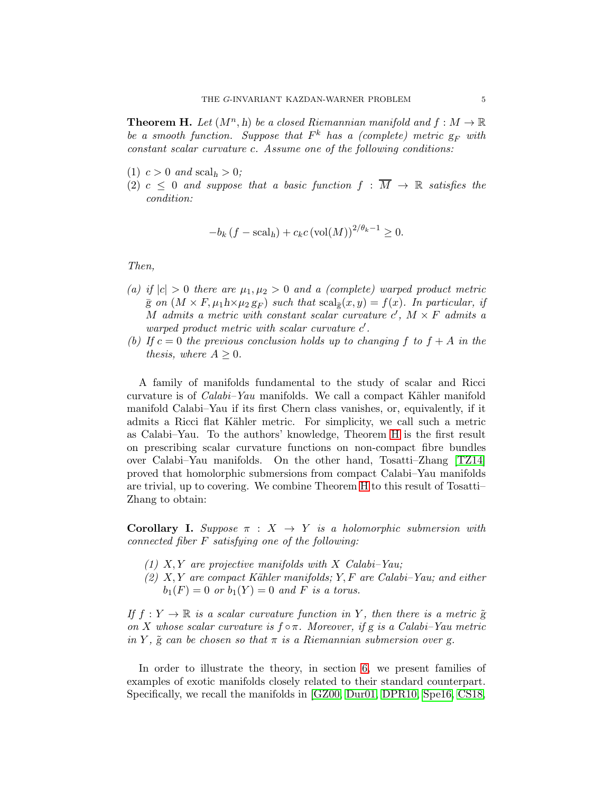<span id="page-4-0"></span>**Theorem H.** Let  $(M^n, h)$  be a closed Riemannian manifold and  $f : M \to \mathbb{R}$ be a smooth function. Suppose that  $F^k$  has a (complete) metric  $g_F$  with constant scalar curvature c. Assume one of the following conditions:

- (1)  $c > 0$  and  $\operatorname{scal}_h > 0$ ;
- (2)  $c \leq 0$  and suppose that a basic function  $f : \overline{M} \to \mathbb{R}$  satisfies the condition:

$$
-b_k(f - \operatorname{scal}_h) + c_k c \left(\operatorname{vol}(M)\right)^{2/\theta_k - 1} \ge 0.
$$

Then,

- (a) if  $|c| > 0$  there are  $\mu_1, \mu_2 > 0$  and a (complete) warped product metric  $\bar{g}$  on  $(M \times F, \mu_1 h \times \mu_2 g_F)$  such that  $\text{scal}_{\bar{g}}(x, y) = f(x)$ . In particular, if M admits a metric with constant scalar curvature  $c'$ ,  $M \times F$  admits a warped product metric with scalar curvature  $c'$ .
- (b) If  $c = 0$  the previous conclusion holds up to changing f to  $f + A$  in the thesis, where  $A \geq 0$ .

A family of manifolds fundamental to the study of scalar and Ricci curvature is of *Calabi–Yau* manifolds. We call a compact Kähler manifold manifold Calabi–Yau if its first Chern class vanishes, or, equivalently, if it admits a Ricci flat Kähler metric. For simplicity, we call such a metric as Calabi–Yau. To the authors' knowledge, Theorem [H](#page-4-0) is the first result on prescribing scalar curvature functions on non-compact fibre bundles over Calabi–Yau manifolds. On the other hand, Tosatti–Zhang [\[TZ14\]](#page-36-16) proved that homolorphic submersions from compact Calabi–Yau manifolds are trivial, up to covering. We combine Theorem [H](#page-4-0) to this result of Tosatti– Zhang to obtain:

<span id="page-4-1"></span>**Corollary I.** Suppose  $\pi$  :  $X \rightarrow Y$  is a holomorphic submersion with connected fiber F satisfying one of the following:

- (1)  $X, Y$  are projective manifolds with  $X$  Calabi–Yau;
- $(2)$  X, Y are compact Kähler manifolds; Y, F are Calabi–Yau; and either  $b_1(F) = 0$  or  $b_1(Y) = 0$  and F is a torus.

If  $f: Y \to \mathbb{R}$  is a scalar curvature function in Y, then there is a metric  $\tilde{g}$ on X whose scalar curvature is  $f \circ \pi$ . Moreover, if g is a Calabi–Yau metric in Y,  $\tilde{g}$  can be chosen so that  $\pi$  is a Riemannian submersion over g.

In order to illustrate the theory, in section [6,](#page-26-0) we present families of examples of exotic manifolds closely related to their standard counterpart. Specifically, we recall the manifolds in [\[GZ00,](#page-35-6) [Dur01,](#page-35-9) [DPR10,](#page-35-10) [Spe16,](#page-36-17) [CS18,](#page-35-11)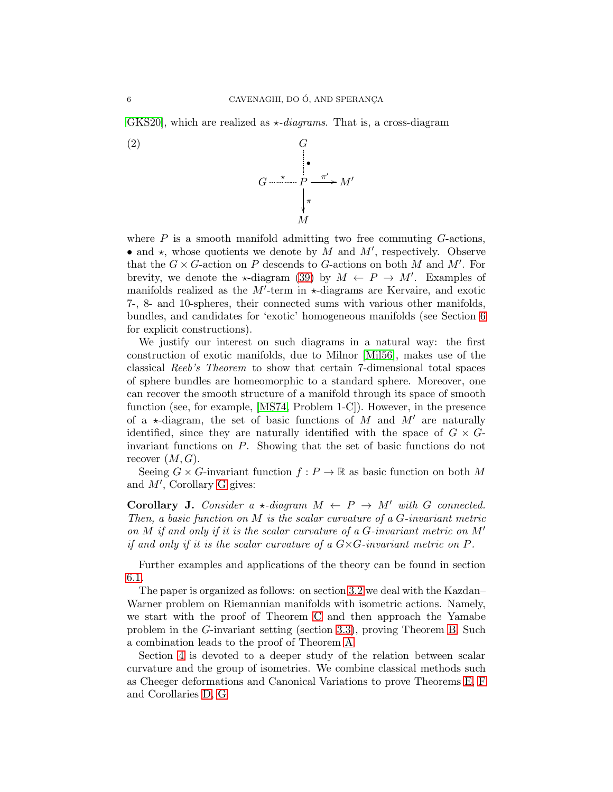GKS20, which are realized as  $\star$ -diagrams. That is, a cross-diagram



where  $P$  is a smooth manifold admitting two free commuting  $G$ -actions, • and  $\star$ , whose quotients we denote by M and M', respectively. Observe that the  $G \times G$ -action on P descends to G-actions on both M and M'. For brevity, we denote the  $\star$ -diagram [\(39\)](#page-29-0) by  $M \leftarrow P \rightarrow M'$ . Examples of manifolds realized as the  $M'$ -term in  $\star$ -diagrams are Kervaire, and exotic 7-, 8- and 10-spheres, their connected sums with various other manifolds, bundles, and candidates for 'exotic' homogeneous manifolds (see Section [6](#page-26-0) for explicit constructions).

We justify our interest on such diagrams in a natural way: the first construction of exotic manifolds, due to Milnor [\[Mil56\]](#page-36-3), makes use of the classical Reeb's Theorem to show that certain 7-dimensional total spaces of sphere bundles are homeomorphic to a standard sphere. Moreover, one can recover the smooth structure of a manifold through its space of smooth function (see, for example, [\[MS74,](#page-36-18) Problem 1-C]). However, in the presence of a  $\star$ -diagram, the set of basic functions of M and M' are naturally identified, since they are naturally identified with the space of  $G \times G$ invariant functions on P. Showing that the set of basic functions do not recover  $(M, G)$ .

Seeing  $G \times G$ -invariant function  $f : P \to \mathbb{R}$  as basic function on both M and M′ , Corollary [G](#page-3-2) gives:

<span id="page-5-0"></span>**Corollary J.** Consider a  $\star$ -diagram  $M \leftarrow P \rightarrow M'$  with G connected. Then, a basic function on  $M$  is the scalar curvature of a  $G$ -invariant metric on M if and only if it is the scalar curvature of a G-invariant metric on  $M'$ if and only if it is the scalar curvature of a  $G \times G$ -invariant metric on  $P$ .

Further examples and applications of the theory can be found in section [6.1.](#page-26-1)

The paper is organized as follows: on section [3.2](#page-7-0) we deal with the Kazdan– Warner problem on Riemannian manifolds with isometric actions. Namely, we start with the proof of Theorem [C](#page-2-0) and then approach the Yamabe problem in the G-invariant setting (section [3.3\)](#page-11-0), proving Theorem [B.](#page-1-1) Such a combination leads to the proof of Theorem [A.](#page-1-0)

Section [4](#page-15-0) is devoted to a deeper study of the relation between scalar curvature and the group of isometries. We combine classical methods such as Cheeger deformations and Canonical Variations to prove Theorems [E,](#page-3-0) [F](#page-3-1) and Corollaries [D,](#page-2-1) [G.](#page-3-2)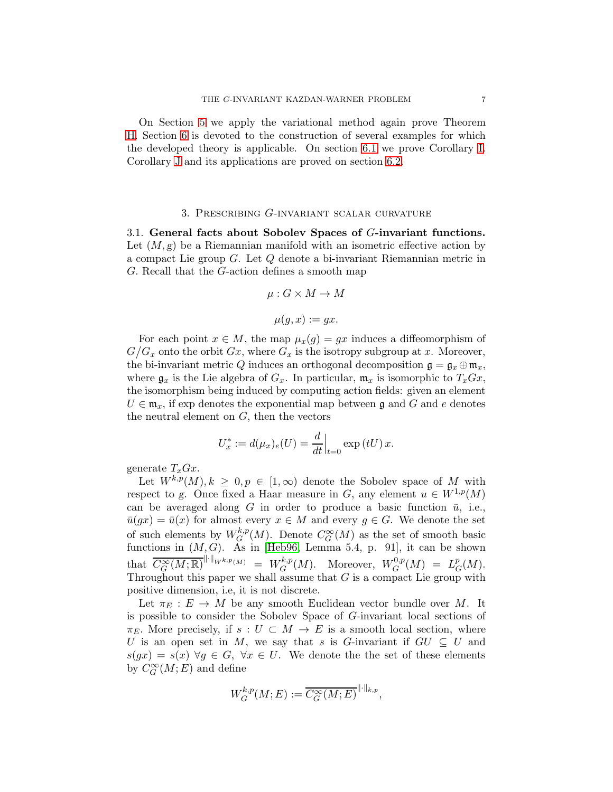On Section [5](#page-20-0) we apply the variational method again prove Theorem [H.](#page-4-0) Section [6](#page-26-0) is devoted to the construction of several examples for which the developed theory is applicable. On section [6.1](#page-26-1) we prove Corollary [I.](#page-4-1) Corollary [J](#page-5-0) and its applications are proved on section [6.2.](#page-29-1)

#### 3. Prescribing G-invariant scalar curvature

<span id="page-6-0"></span>3.1. General facts about Sobolev Spaces of G-invariant functions. Let  $(M, g)$  be a Riemannian manifold with an isometric effective action by a compact Lie group G. Let Q denote a bi-invariant Riemannian metric in G. Recall that the G-action defines a smooth map

$$
\mu: G \times M \to M
$$

$$
\mu(g,x) := gx.
$$

For each point  $x \in M$ , the map  $\mu_x(g) = gx$  induces a diffeomorphism of  $G/G_x$  onto the orbit  $Gx$ , where  $G_x$  is the isotropy subgroup at x. Moreover, the bi-invariant metric Q induces an orthogonal decomposition  $\mathfrak{g} = \mathfrak{g}_x \oplus \mathfrak{m}_x$ , where  $\mathfrak{g}_x$  is the Lie algebra of  $G_x$ . In particular,  $\mathfrak{m}_x$  is isomorphic to  $T_xGx$ , the isomorphism being induced by computing action fields: given an element  $U \in \mathfrak{m}_x$ , if exp denotes the exponential map between g and G and e denotes the neutral element on  $G$ , then the vectors

$$
U_x^* := d(\mu_x)_e(U) = \frac{d}{dt}\Big|_{t=0} \exp(tU) x.
$$

generate  $T_xGx$ .

Let  $W^{k,p}(M), k \geq 0, p \in [1,\infty)$  denote the Sobolev space of M with respect to g. Once fixed a Haar measure in G, any element  $u \in W^{1,p}(M)$ can be averaged along G in order to produce a basic function  $\bar{u}$ , i.e.,  $\bar{u}(gx) = \bar{u}(x)$  for almost every  $x \in M$  and every  $g \in G$ . We denote the set of such elements by  $W^{k,p}_G$  ${}_{G}^{k,p}(M)$ . Denote  $C_G^{\infty}(M)$  as the set of smooth basic functions in  $(M, G)$ . As in [\[Heb96,](#page-35-12) Lemma 5.4, p. 91], it can be shown that  $\overline{C_G^{\infty}(M;\mathbb{R})}^{\|\cdot\|_{W^{k,p}(M)}} = W_G^{k,p}$  $G^{k,p}(M)$ . Moreover,  $W^{0,p}_G$  $L_G^{0,p}(M) = L_G^p$  $^p_G(M).$ Throughout this paper we shall assume that  $G$  is a compact Lie group with positive dimension, i.e, it is not discrete.

Let  $\pi_E : E \to M$  be any smooth Euclidean vector bundle over M. It is possible to consider the Sobolev Space of G-invariant local sections of  $\pi_E$ . More precisely, if  $s: U \subset M \to E$  is a smooth local section, where U is an open set in M, we say that s is G-invariant if  $GU \subseteq U$  and  $s(gx) = s(x) \,\forall g \in G, \,\forall x \in U.$  We denote the set of these elements by  $C_G^{\infty}(M;E)$  and define

$$
W_G^{k,p}(M;E) := \overline{C_G^{\infty}(M;E)}^{\|\cdot\|_{k,p}},
$$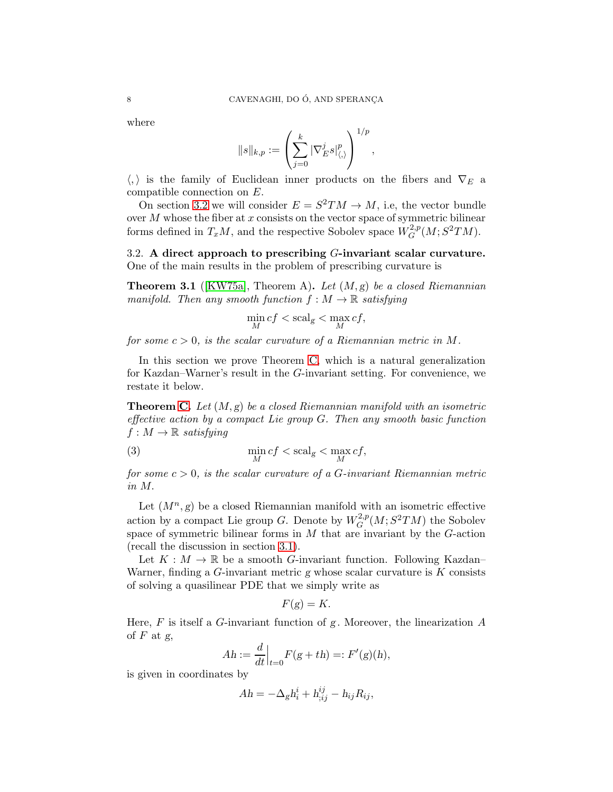where

$$
\|s\|_{k,p}:=\left(\sum_{j=0}^k |\nabla_E^j s|_{\langle,\rangle}^p\right)^{1/p},
$$

 $\langle , \rangle$  is the family of Euclidean inner products on the fibers and  $\nabla_E$  a compatible connection on E.

On section [3.2](#page-7-0) we will consider  $E = S^2 TM \rightarrow M$ , i.e, the vector bundle over  $M$  whose the fiber at  $x$  consists on the vector space of symmetric bilinear forms defined in  $T_xM$ , and the respective Sobolev space  $W^{2,p}_G$  $G^{2,p}(M;S^2TM).$ 

<span id="page-7-0"></span>3.2. A direct approach to prescribing  $G$ -invariant scalar curvature. One of the main results in the problem of prescribing curvature is

**Theorem 3.1** ([\[KW75a\]](#page-36-10), Theorem A). Let  $(M, g)$  be a closed Riemannian manifold. Then any smooth function  $f : M \to \mathbb{R}$  satisfying

$$
\min_M cf < \operatorname{scal}_g < \max_M cf,
$$

for some  $c > 0$ , is the scalar curvature of a Riemannian metric in M.

In this section we prove Theorem [C,](#page-2-0) which is a natural generalization for Kazdan–Warner's result in the G-invariant setting. For convenience, we restate it below.

**Theorem [C.](#page-2-0)** Let  $(M, g)$  be a closed Riemannian manifold with an isometric effective action by a compact Lie group G. Then any smooth basic function  $f: M \to \mathbb{R}$  satisfying

<span id="page-7-1"></span>(3) 
$$
\min_{M} cf < \operatorname{scal}_{g} < \max_{M} cf,
$$

for some  $c > 0$ , is the scalar curvature of a G-invariant Riemannian metric in M.

Let  $(M^n, g)$  be a closed Riemannian manifold with an isometric effective action by a compact Lie group G. Denote by  $W^{2,p}_G$  $G^{2,p}(M;S^2TM)$  the Sobolev space of symmetric bilinear forms in  $M$  that are invariant by the  $G$ -action (recall the discussion in section [3.1\)](#page-6-0).

Let  $K : M \to \mathbb{R}$  be a smooth *G*-invariant function. Following Kazdan– Warner, finding a  $G$ -invariant metric g whose scalar curvature is  $K$  consists of solving a quasilinear PDE that we simply write as

$$
F(g) = K.
$$

Here, F is itself a G-invariant function of g. Moreover, the linearization  $A$ of  $F$  at  $g$ ,

$$
Ah := \frac{d}{dt}\Big|_{t=0} F(g+th) =: F'(g)(h),
$$

is given in coordinates by

$$
Ah = -\Delta_g h_i^i + h_{;ij}^{ij} - h_{ij}R_{ij},
$$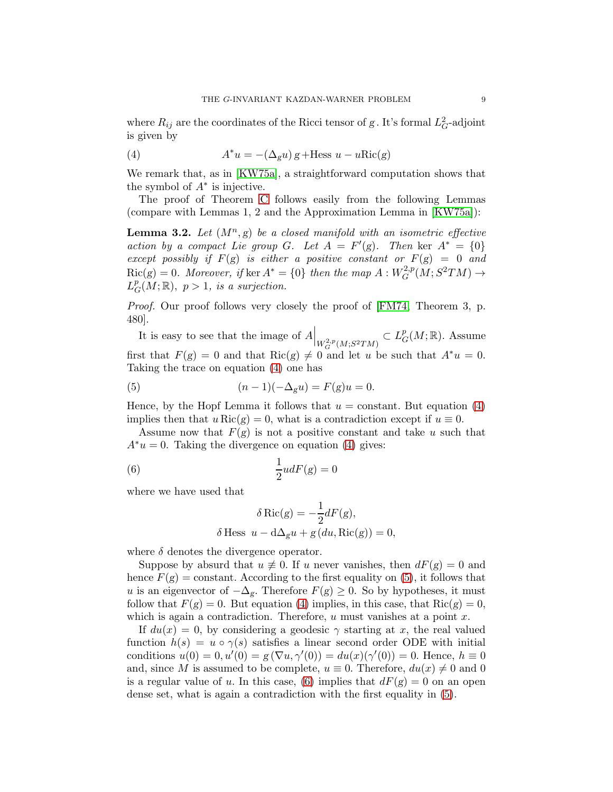where  $R_{ij}$  are the coordinates of the Ricci tensor of g. It's formal  $L_G^2$ -adjoint is given by

<span id="page-8-0"></span>(4) 
$$
A^*u = -(\Delta_g u) g + \text{Hess } u - u \text{Ric}(g)
$$

We remark that, as in [\[KW75a\]](#page-36-10), a straightforward computation shows that the symbol of  $A^*$  is injective.

The proof of Theorem [C](#page-2-0) follows easily from the following Lemmas (compare with Lemmas 1, 2 and the Approximation Lemma in [\[KW75a\]](#page-36-10)):

<span id="page-8-3"></span>**Lemma 3.2.** Let  $(M^n, g)$  be a closed manifold with an isometric effective action by a compact Lie group G. Let  $A = F'(g)$ . Then ker  $A^* = \{0\}$ except possibly if  $F(g)$  is either a positive constant or  $F(g) = 0$  and  $Ric(g) = 0$ . Moreover, if ker  $A^* = \{0\}$  then the map  $A: W_G^{2,p}$  $G^{2,p}(M;S^2TM) \to$  $L^p_{\mathcal{C}}$  $_{G}^{p}(M;\mathbb{R}), p>1$ , is a surjection.

Proof. Our proof follows very closely the proof of [\[FM74,](#page-35-13) Theorem 3, p. 480].

It is easy to see that the image of  $A\Big|_{W^{2,p}_G(M;S^2TM)}$  $\subset L^p_{\mathcal{C}}$  $_{G}^{p}(M;\mathbb{R})$ . Assume first that  $F(g) = 0$  and that  $Ric(g) \neq 0$  and let u be such that  $A^*u = 0$ . Taking the trace on equation [\(4\)](#page-8-0) one has

<span id="page-8-1"></span>(5) 
$$
(n-1)(-\Delta_g u) = F(g)u = 0.
$$

Hence, by the Hopf Lemma it follows that  $u = constant$ . But equation [\(4\)](#page-8-0) implies then that  $u \text{Ric}(g) = 0$ , what is a contradiction except if  $u \equiv 0$ .

Assume now that  $F(g)$  is not a positive constant and take u such that  $A^*u = 0$ . Taking the divergence on equation [\(4\)](#page-8-0) gives:

<span id="page-8-2"></span>(6) 
$$
\frac{1}{2}udF(g) = 0
$$

where we have used that

$$
\delta \operatorname{Ric}(g) = -\frac{1}{2} dF(g),
$$
  

$$
\delta \operatorname{Hess} u - d\Delta_g u + g(du, \operatorname{Ric}(g)) = 0,
$$

where  $\delta$  denotes the divergence operator.

Suppose by absurd that  $u \neq 0$ . If u never vanishes, then  $dF(g) = 0$  and hence  $F(g)$  = constant. According to the first equality on [\(5\)](#page-8-1), it follows that u is an eigenvector of  $-\Delta_g$ . Therefore  $F(g) \geq 0$ . So by hypotheses, it must follow that  $F(g) = 0$ . But equation [\(4\)](#page-8-0) implies, in this case, that  $Ric(g) = 0$ , which is again a contradiction. Therefore,  $u$  must vanishes at a point  $x$ .

If  $du(x) = 0$ , by considering a geodesic  $\gamma$  starting at x, the real valued function  $h(s) = u \circ \gamma(s)$  satisfies a linear second order ODE with initial conditions  $u(0) = 0, u'(0) = g(\nabla u, \gamma'(0)) = du(x)(\gamma'(0)) = 0$ . Hence,  $h \equiv 0$ and, since M is assumed to be complete,  $u \equiv 0$ . Therefore,  $du(x) \neq 0$  and 0 is a regular value of u. In this case, [\(6\)](#page-8-2) implies that  $dF(g) = 0$  on an open dense set, what is again a contradiction with the first equality in [\(5\)](#page-8-1).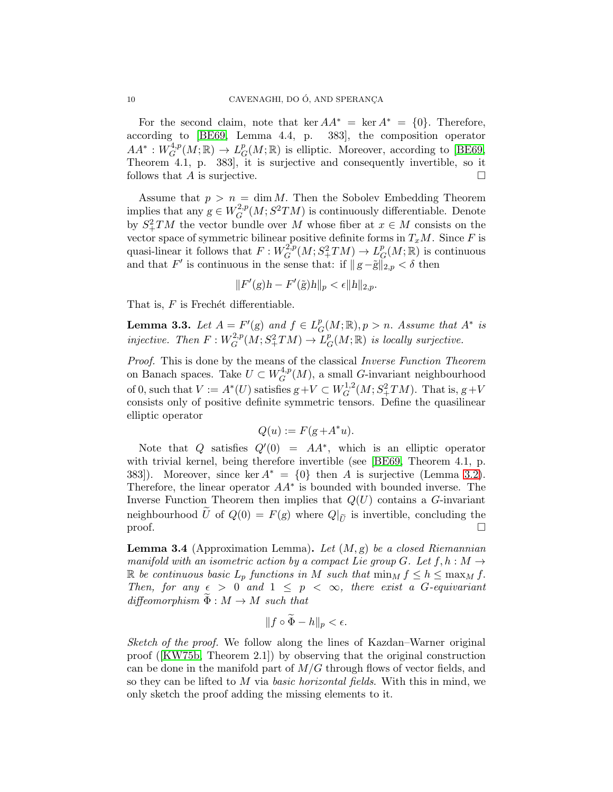For the second claim, note that ker  $AA^* = \text{ker } A^* = \{0\}$ . Therefore, according to [\[BE69,](#page-35-14) Lemma 4.4, p. 383], the composition operator  $AA^*:W_G^{4,p}$  $\iota_G^{4,p}(M;\mathbb{R}) \to L^p_G$  $_{G}^{p}(M;\mathbb{R})$  is elliptic. Moreover, according to [\[BE69,](#page-35-14) Theorem 4.1, p. 383], it is surjective and consequently invertible, so it follows that  $A$  is surjective.

Assume that  $p > n = \dim M$ . Then the Sobolev Embedding Theorem implies that any  $g \in W^{2,p}_G$  $G^{2,p}(M; S^2TM)$  is continuously differentiable. Denote by  $S^2_+TM$  the vector bundle over M whose fiber at  $x \in M$  consists on the vector space of symmetric bilinear positive definite forms in  $T_xM$ . Since F is quasi-linear it follows that  $F: W_G^{2,p}$  $L_G^{2,p}(M;S^2_+TM)\to L_G^p$  $_{G}^{p}(M;\mathbb{R})$  is continuous and that F' is continuous in the sense that: if  $||g-\tilde{g}||_{2,p} < \delta$  then

$$
||F'(g)h - F'(\tilde{g})h||_p < \epsilon ||h||_{2,p}.
$$

That is,  $F$  is Frechét differentiable.

<span id="page-9-1"></span>**Lemma 3.3.** Let  $A = F'(g)$  and  $f \in L_c^p$  $_{G}^{p}(M;\mathbb{R}), p > n.$  Assume that  $A^*$  is injective. Then  $F: W_G^{2,p}$  $L_G^{2,p}(M;S^2_+TM)\to L_C^p$  $_{G}^{p}(M;\mathbb{R})$  is locally surjective.

Proof. This is done by the means of the classical Inverse Function Theorem on Banach spaces. Take  $U \subset W_G^{4,p}$  $G^{4,p}(M)$ , a small G-invariant neighbourhood of 0, such that  $V := A^*(U)$  satisfies  $g + V \subset W_Q^{1,2}$  $G^{1,2}(M;S^2_+TM)$ . That is,  $g+V$ consists only of positive definite symmetric tensors. Define the quasilinear elliptic operator

$$
Q(u) := F(g + A^* u).
$$

Note that Q satisfies  $Q'(0) = AA^*$ , which is an elliptic operator with trivial kernel, being therefore invertible (see [\[BE69,](#page-35-14) Theorem 4.1, p. 383]). Moreover, since ker  $A^* = \{0\}$  then A is surjective (Lemma [3.2\)](#page-8-3). Therefore, the linear operator  $AA^*$  is bounded with bounded inverse. The Inverse Function Theorem then implies that  $Q(U)$  contains a G-invariant neighbourhood U of  $Q(0) = F(g)$  where  $Q|_{\tilde{U}}$  is invertible, concluding the proof.  $\Box$ 

<span id="page-9-0"></span>**Lemma 3.4** (Approximation Lemma). Let  $(M, g)$  be a closed Riemannian manifold with an isometric action by a compact Lie group G. Let  $f, h : M \to$ R be continuous basic  $L_p$  functions in M such that  $\min_M f \leq h \leq \max_M f$ . Then, for any  $\epsilon > 0$  and  $1 \leq p < \infty$ , there exist a G-equivariant diffeomorphism  $\Phi : M \to M$  such that

$$
||f \circ \Phi - h||_p < \epsilon.
$$

Sketch of the proof. We follow along the lines of Kazdan–Warner original proof([\[KW75b,](#page-36-11) Theorem 2.1]) by observing that the original construction can be done in the manifold part of  $M/G$  through flows of vector fields, and so they can be lifted to M via basic horizontal fields. With this in mind, we only sketch the proof adding the missing elements to it.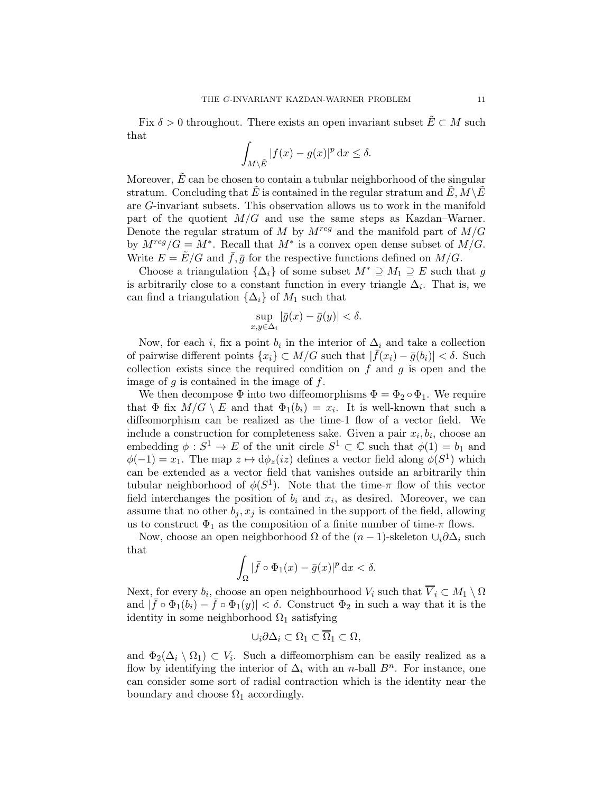Fix  $\delta > 0$  throughout. There exists an open invariant subset  $\tilde{E} \subset M$  such that

$$
\int_{M\setminus \tilde E} |f(x) - g(x)|^p \, \mathrm{d} x \le \delta.
$$

Moreover,  $\tilde{E}$  can be chosen to contain a tubular neighborhood of the singular stratum. Concluding that E is contained in the regular stratum and  $E, M \backslash E$ are G-invariant subsets. This observation allows us to work in the manifold part of the quotient  $M/G$  and use the same steps as Kazdan–Warner. Denote the regular stratum of M by  $M^{reg}$  and the manifold part of  $M/G$ by  $M^{reg}/G = M^*$ . Recall that  $M^*$  is a convex open dense subset of  $M/G$ . Write  $E = \tilde{E}/G$  and  $\bar{f}, \bar{g}$  for the respective functions defined on  $M/G$ .

Choose a triangulation  $\{\Delta_i\}$  of some subset  $M^* \supseteq M_1 \supseteq E$  such that g is arbitrarily close to a constant function in every triangle  $\Delta_i$ . That is, we can find a triangulation  $\{\Delta_i\}$  of  $M_1$  such that

$$
\sup_{x,y \in \Delta_i} |\bar{g}(x) - \bar{g}(y)| < \delta.
$$

Now, for each *i*, fix a point  $b_i$  in the interior of  $\Delta_i$  and take a collection of pairwise different points  $\{x_i\} \subset M/G$  such that  $|\bar{f}(x_i) - \bar{g}(b_i)| < \delta$ . Such collection exists since the required condition on  $f$  and  $g$  is open and the image of  $q$  is contained in the image of  $f$ .

We then decompose  $\Phi$  into two diffeomorphisms  $\Phi = \Phi_2 \circ \Phi_1$ . We require that  $\Phi$  fix  $M/G \setminus E$  and that  $\Phi_1(b_i) = x_i$ . It is well-known that such a diffeomorphism can be realized as the time-1 flow of a vector field. We include a construction for completeness sake. Given a pair  $x_i, b_i$ , choose an embedding  $\phi: S^1 \to E$  of the unit circle  $S^1 \subset \mathbb{C}$  such that  $\phi(1) = b_1$  and  $\phi(-1) = x_1$ . The map  $z \mapsto d\phi_z(iz)$  defines a vector field along  $\phi(S^1)$  which can be extended as a vector field that vanishes outside an arbitrarily thin tubular neighborhood of  $\phi(S^1)$ . Note that the time- $\pi$  flow of this vector field interchanges the position of  $b_i$  and  $x_i$ , as desired. Moreover, we can assume that no other  $b_j, x_j$  is contained in the support of the field, allowing us to construct  $\Phi_1$  as the composition of a finite number of time- $\pi$  flows.

Now, choose an open neighborhood  $\Omega$  of the  $(n-1)$ -skeleton  $\cup_i \partial \Delta_i$  such that

$$
\int_{\Omega} |\bar{f} \circ \Phi_1(x) - \bar{g}(x)|^p \, \mathrm{d}x < \delta.
$$

Next, for every  $b_i$ , choose an open neighbourhood  $V_i$  such that  $V_i \subset M_1 \setminus \Omega$ and  $|\bar{f} \circ \Phi_1(b_i) - \bar{f} \circ \Phi_1(y)| < \delta$ . Construct  $\Phi_2$  in such a way that it is the identity in some neighborhood  $\Omega_1$  satisfying

$$
\cup_i \partial \Delta_i \subset \Omega_1 \subset \overline{\Omega}_1 \subset \Omega,
$$

and  $\Phi_2(\Delta_i \setminus \Omega_1) \subset V_i$ . Such a diffeomorphism can be easily realized as a flow by identifying the interior of  $\Delta_i$  with an *n*-ball  $B^n$ . For instance, one can consider some sort of radial contraction which is the identity near the boundary and choose  $\Omega_1$  accordingly.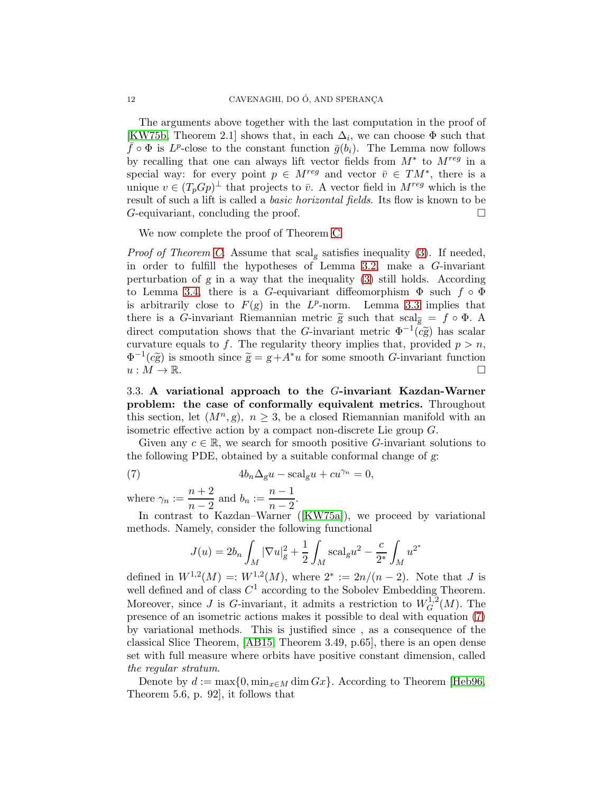The arguments above together with the last computation in the proof of [\[KW75b,](#page-36-11) Theorem 2.1] shows that, in each  $\Delta_i$ , we can choose  $\Phi$  such that  $\bar{f} \circ \Phi$  is  $L^p$ -close to the constant function  $\bar{g}(b_i)$ . The Lemma now follows by recalling that one can always lift vector fields from  $M^*$  to  $M^{reg}$  in a special way: for every point  $p \in M^{reg}$  and vector  $\overline{v} \in TM^*$ , there is a unique  $v \in (T_p G p)^{\perp}$  that projects to  $\bar{v}$ . A vector field in  $M^{reg}$  which is the result of such a lift is called a basic horizontal fields. Its flow is known to be  $G$ -equivariant, concluding the proof.  $\Box$ 

We now complete the proof of Theorem [C.](#page-2-0)

*Proof of Theorem [C.](#page-2-0)* Assume that  $\text{scal}_g$  satisfies inequality [\(3\)](#page-7-1). If needed, in order to fulfill the hypotheses of Lemma [3.2,](#page-8-3) make a G-invariant perturbation of  $g$  in a way that the inequality [\(3\)](#page-7-1) still holds. According to Lemma [3.4,](#page-9-0) there is a G-equivariant diffeomorphism  $\Phi$  such  $f \circ \Phi$ is arbitrarily close to  $F(g)$  in the  $L^p$ -norm. Lemma [3.3](#page-9-1) implies that there is a G-invariant Riemannian metric  $\tilde{g}$  such that  $scal_{\tilde{g}} = f \circ \Phi$ . A direct computation shows that the G-invariant metric  $\Phi^{-1}(c\tilde{g})$  has scalar curvature equals to f. The regularity theory implies that, provided  $p > n$ ,  $\Phi^{-1}(c\tilde{g})$  is smooth since  $\tilde{g} = g + A^*u$  for some smooth G-invariant function  $u : M \to \mathbb{R}$ .

<span id="page-11-0"></span>3.3. A variational approach to the G-invariant Kazdan-Warner problem: the case of conformally equivalent metrics. Throughout this section, let  $(M^n, g)$ ,  $n \geq 3$ , be a closed Riemannian manifold with an isometric effective action by a compact non-discrete Lie group G.

Given any  $c \in \mathbb{R}$ , we search for smooth positive G-invariant solutions to the following PDE, obtained by a suitable conformal change of g:

(7) 
$$
4b_n \Delta_g u - \text{scal}_g u + cu^{\gamma_n} = 0,
$$

where  $\gamma_n := \frac{n+2}{n-2}$  $\frac{n+2}{n-2}$  and  $b_n := \frac{n-1}{n-2}$  $\frac{n-1}{n-2}$ 

In contrast to Kazdan–Warner([\[KW75a\]](#page-36-10)), we proceed by variational methods. Namely, consider the following functional

<span id="page-11-1"></span>
$$
J(u) = 2b_n \int_M |\nabla u|_g^2 + \frac{1}{2} \int_M \text{scal}_g u^2 - \frac{c}{2^*} \int_M u^{2^*}
$$

defined in  $W^{1,2}(M) =: W^{1,2}(M)$ , where  $2^* := 2n/(n-2)$ . Note that J is well defined and of class  $C^1$  according to the Sobolev Embedding Theorem. Moreover, since J is G-invariant, it admits a restriction to  $W_G^{1,2}$  $G^{1,2}(M)$ . The presence of an isometric actions makes it possible to deal with equation [\(7\)](#page-11-1) by variational methods. This is justified since , as a consequence of the classical Slice Theorem, [\[AB15,](#page-34-1) Theorem 3.49, p.65], there is an open dense set with full measure where orbits have positive constant dimension, called the regular stratum.

Denote by  $d := \max\{0, \min_{x \in M} \dim G_x\}$ . According to Theorem [\[Heb96,](#page-35-12) Theorem 5.6, p. 92], it follows that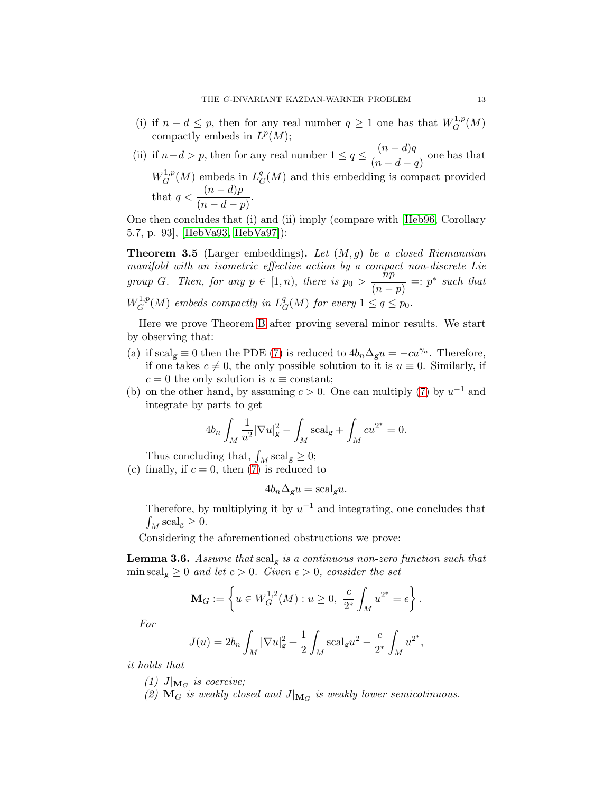- (i) if  $n d \leq p$ , then for any real number  $q \geq 1$  one has that  $W^{1,p}_G$  $G^{1,p}(M)$ compactly embeds in  $L^p(M)$ ;
- (ii) if  $n-d > p$ , then for any real number  $1 \leq q \leq \frac{(n-d)q}{q}$  $\frac{(n-a)q}{(n-d-q)}$  one has that  $W^{1,p}_G$  $L_G^{1,p}(M)$  embeds in  $L_G^q$  ${}^q_G(M)$  and this embedding is compact provided that  $q < \frac{(n-d)p}{p}$  $\frac{(n-a)p}{(n-d-p)}$

One then concludes that (i) and (ii) imply (compare with [\[Heb96,](#page-35-12) Corollary 5.7, p. 93], [\[HebVa93,](#page-35-3) [HebVa97\]](#page-35-4)):

<span id="page-12-0"></span>**Theorem 3.5** (Larger embeddings). Let  $(M, q)$  be a closed Riemannian manifold with an isometric effective action by a compact non-discrete Lie group G. Then, for any  $p \in [1,n)$ , there is  $p_0 > \frac{hp}{\sqrt{n}}$  $\frac{np}{(n-p)}$  =: p<sup>\*</sup> such that  $W^{1,p}_G$  $L_G^{1,p}(M)$  embeds compactly in  $L_G^q$  $_{G}^{q}(M)$  for every  $1 \leq q \leq p_0$ .

Here we prove Theorem [B](#page-1-1) after proving several minor results. We start by observing that:

- (a) if scal<sub>g</sub>  $\equiv 0$  then the PDE [\(7\)](#page-11-1) is reduced to  $4b_n\Delta_g u = -cu^{\gamma_n}$ . Therefore, if one takes  $c \neq 0$ , the only possible solution to it is  $u \equiv 0$ . Similarly, if  $c = 0$  the only solution is  $u \equiv$  constant;
- (b) on the other hand, by assuming  $c > 0$ . One can multiply [\(7\)](#page-11-1) by  $u^{-1}$  and integrate by parts to get

$$
4b_n \int_M \frac{1}{u^2} |\nabla u|_g^2 - \int_M \text{scal}_g + \int_M c u^{2^*} = 0.
$$

Thus concluding that,  $\int_M \mathrm{scal}_g \geq 0;$ 

(c) finally, if  $c = 0$ , then [\(7\)](#page-11-1) is reduced to

$$
4b_n\Delta_g u = \text{scal}_g u.
$$

Therefore, by multiplying it by  $u^{-1}$  and integrating, one concludes that  $\int_M \mathrm{scal}_g \geq 0.$ 

Considering the aforementioned obstructions we prove:

<span id="page-12-1"></span>**Lemma 3.6.** Assume that  $\text{scal}_g$  is a continuous non-zero function such that min scal<sub>g</sub>  $\geq 0$  and let  $c > 0$ . Given  $\epsilon > 0$ , consider the set

$$
\mathbf{M}_G := \left\{ u \in W^{1,2}_G(M) : u \ge 0, \ \frac{c}{2^*} \int_M u^{2^*} = \epsilon \right\}.
$$

For

$$
J(u) = 2b_n \int_M |\nabla u|_g^2 + \frac{1}{2} \int_M \mathrm{scal}_g u^2 - \frac{c}{2^*} \int_M u^{2^*},
$$

it holds that

(1)  $J|_{\mathbf{M}_G}$  is coercive;

(2)  $\mathbf{M}_G$  is weakly closed and  $J|_{\mathbf{M}_G}$  is weakly lower semicotinuous.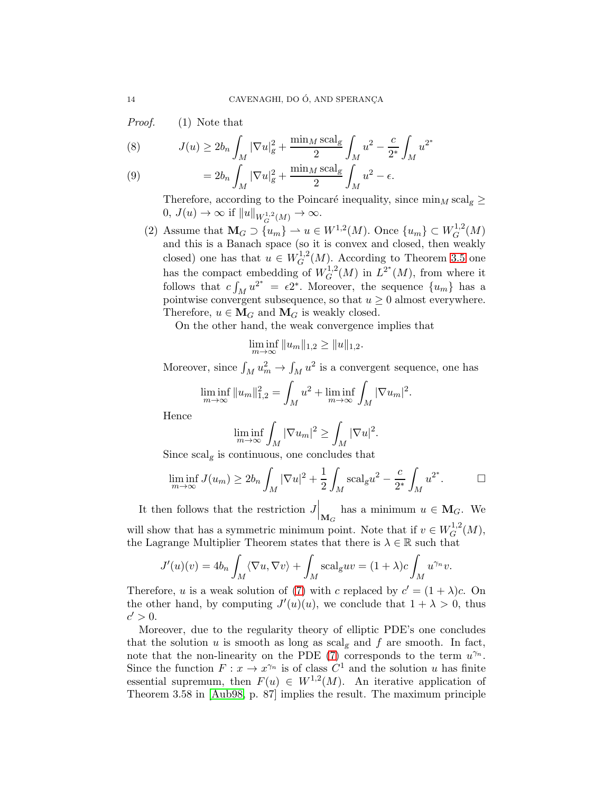Proof. (1) Note that

(8) 
$$
J(u) \ge 2b_n \int_M |\nabla u|_g^2 + \frac{\min_M \text{scal}_g}{2} \int_M u^2 - \frac{c}{2^*} \int_M u^{2^*}
$$

(9) 
$$
= 2b_n \int_M |\nabla u|_g^2 + \frac{\min_M \text{scal}_g}{2} \int_M u^2 - \epsilon.
$$

Therefore, according to the Poincaré inequality, since  $\min_M \text{scal}_g \geq$  $0, J(u) \to \infty$  if  $||u||_{W_Q^{1,2}(M)} \to \infty$ .

(2) Assume that  $\mathbf{M}_G \supset \{u_m\} \to u \in W^{1,2}(M)$ . Once  $\{u_m\} \subset W^{1,2}_G$  $G^{1,2}(M)$ and this is a Banach space (so it is convex and closed, then weakly closed) one has that  $u \in W_G^{1,2}$  $G^{1,2}(M)$ . According to Theorem [3.5](#page-12-0) one has the compact embedding of  $W_G^{1,2}$ bedding of  $W_G^{1,2}(M)$  in  $L^{2^*}(M)$ , from where it follows that  $c \int_M u^{2^*} = \epsilon 2^*$ . Moreover, the sequence  $\{u_m\}$  has a pointwise convergent subsequence, so that  $u \geq 0$  almost everywhere. Therefore,  $u \in M_G$  and  $M_G$  is weakly closed.

On the other hand, the weak convergence implies that

$$
\liminf_{m \to \infty} ||u_m||_{1,2} \ge ||u||_{1,2}.
$$

Moreover, since  $\int_M u_m^2 \to \int_M u^2$  is a convergent sequence, one has

$$
\liminf_{m \to \infty} \|u_m\|_{1,2}^2 = \int_M u^2 + \liminf_{m \to \infty} \int_M |\nabla u_m|^2.
$$

Hence

$$
\liminf_{m \to \infty} \int_M |\nabla u_m|^2 \ge \int_M |\nabla u|^2.
$$

Since  $\text{scal}_g$  is continuous, one concludes that

$$
\liminf_{m \to \infty} J(u_m) \ge 2b_n \int_M |\nabla u|^2 + \frac{1}{2} \int_M \mathrm{scal}_g u^2 - \frac{c}{2^*} \int_M u^{2^*}.
$$

It then follows that the restriction  $J\vert_{\mathbf{M}_G}$  has a minimum  $u \in \mathbf{M}_G$ . We will show that has a symmetric minimum point. Note that if  $v \in W_G^{1,2}$  $G^{1,2}(M),$ the Lagrange Multiplier Theorem states that there is  $\lambda \in \mathbb{R}$  such that

$$
J'(u)(v) = 4b_n \int_M \langle \nabla u, \nabla v \rangle + \int_M \text{scal}_{g} uv = (1 + \lambda)c \int_M u^{\gamma_n} v.
$$

Therefore, u is a weak solution of [\(7\)](#page-11-1) with c replaced by  $c' = (1 + \lambda)c$ . On the other hand, by computing  $J'(u)(u)$ , we conclude that  $1 + \lambda > 0$ , thus  $c' > 0.$ 

Moreover, due to the regularity theory of elliptic PDE's one concludes that the solution  $u$  is smooth as long as scal<sub>g</sub> and  $f$  are smooth. In fact, note that the non-linearity on the PDE [\(7\)](#page-11-1) corresponds to the term  $u^{\gamma_n}$ . Since the function  $F: x \to x^{\gamma_n}$  is of class  $C^1$  and the solution u has finite essential supremum, then  $F(u) \in W^{1,2}(M)$ . An iterative application of Theorem 3.58 in [\[Aub98,](#page-34-2) p. 87] implies the result. The maximum principle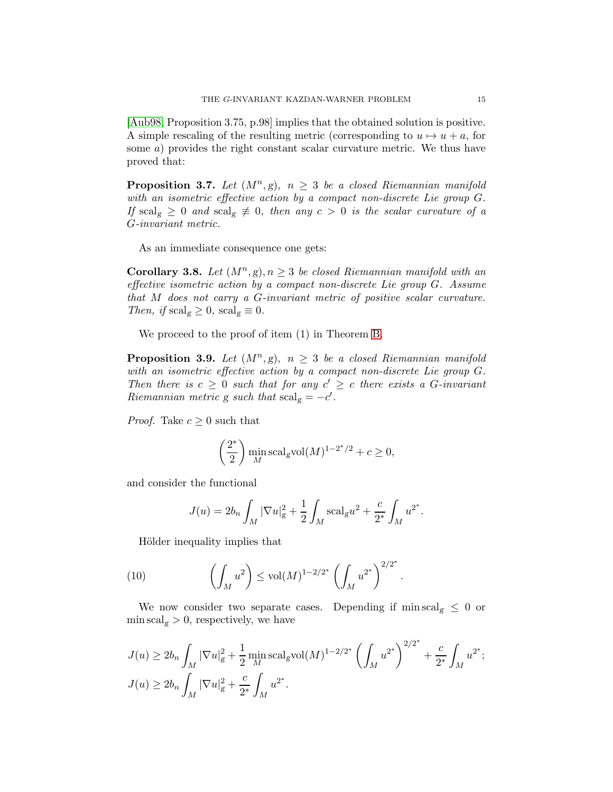[\[Aub98,](#page-34-2) Proposition 3.75, p.98] implies that the obtained solution is positive. A simple rescaling of the resulting metric (corresponding to  $u \mapsto u + a$ , for some a) provides the right constant scalar curvature metric. We thus have proved that:

<span id="page-14-2"></span>**Proposition 3.7.** Let  $(M^n, g)$ ,  $n \geq 3$  be a closed Riemannian manifold with an isometric effective action by a compact non-discrete Lie group G. If scal<sub>g</sub>  $\geq 0$  and scal<sub>g</sub>  $\neq 0$ , then any  $c > 0$  is the scalar curvature of a G-invariant metric.

As an immediate consequence one gets:

<span id="page-14-1"></span>**Corollary 3.8.** Let  $(M^n, g)$ ,  $n \geq 3$  be closed Riemannian manifold with an effective isometric action by a compact non-discrete Lie group G. Assume that M does not carry a G-invariant metric of positive scalar curvature. Then, if  $\text{scal}_g \geq 0$ ,  $\text{scal}_g \equiv 0$ .

We proceed to the proof of item (1) in Theorem [B.](#page-1-1)

<span id="page-14-0"></span>**Proposition 3.9.** Let  $(M^n, g)$ ,  $n \geq 3$  be a closed Riemannian manifold with an isometric effective action by a compact non-discrete Lie group G. Then there is  $c \geq 0$  such that for any  $c' \geq c$  there exists a G-invariant Riemannian metric g such that  $\text{scal}_g = -c'$ .

*Proof.* Take  $c \geq 0$  such that

$$
\left(\frac{2^*}{2}\right) \min_M \operatorname{scal}_\mathrm{g} \operatorname{vol}(M)^{1-2^*/2} + c \ge 0,
$$

and consider the functional

$$
J(u) = 2b_n \int_M |\nabla u|_g^2 + \frac{1}{2} \int_M \mathrm{scal}_g u^2 + \frac{c}{2^*} \int_M u^{2^*}.
$$

Hölder inequality implies that

(10) 
$$
\left(\int_M u^2\right) \leq \text{vol}(M)^{1-2/2^*} \left(\int_M u^{2^*}\right)^{2/2^*}.
$$

We now consider two separate cases. Depending if min scal<sub>g</sub>  $\leq 0$  or  $\min \text{scal}_g > 0$ , respectively, we have

$$
J(u) \ge 2b_n \int_M |\nabla u|_g^2 + \frac{1}{2} \min_M \text{scal}_g \text{vol}(M)^{1-2/2^*} \left( \int_M u^{2^*} \right)^{2/2^*} + \frac{c}{2^*} \int_M u^{2^*};
$$
  

$$
J(u) \ge 2b_n \int_M |\nabla u|_g^2 + \frac{c}{2^*} \int_M u^{2^*}.
$$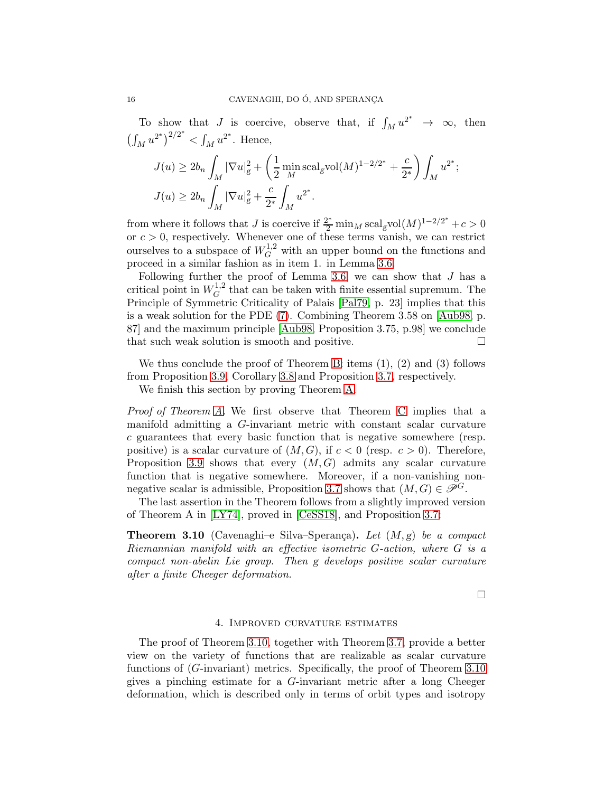To show that J is coercive, observe that, if  $\int_M u^{2^*} \to \infty$ , then  $\left(\int_M u^{2^*}\right)^{2/2^*} < \int_M u^{2^*}$ . Hence,

$$
J(u) \ge 2b_n \int_M |\nabla u|_g^2 + \left(\frac{1}{2} \min_M \text{scal}_g \text{vol}(M)^{1-2/2^*} + \frac{c}{2^*}\right) \int_M u^{2^*};
$$
  

$$
J(u) \ge 2b_n \int_M |\nabla u|_g^2 + \frac{c}{2^*} \int_M u^{2^*}.
$$

from where it follows that J is coercive if  $\frac{2^*}{2} \min_M \text{scal}_g \text{vol}(M)^{1-2/2^*} + c > 0$ or  $c > 0$ , respectively. Whenever one of these terms vanish, we can restrict ourselves to a subspace of  $W_G^{1,2}$  with an upper bound on the functions and proceed in a similar fashion as in item 1. in Lemma [3.6.](#page-12-1)

Following further the proof of Lemma [3.6,](#page-12-1) we can show that  $J$  has a critical point in  $W^{1,2}_G$  $G<sup>{1,2}</sup>$  that can be taken with finite essential supremum. The Principle of Symmetric Criticality of Palais [\[Pal79,](#page-36-19) p. 23] implies that this is a weak solution for the PDE [\(7\)](#page-11-1). Combining Theorem 3.58 on [\[Aub98,](#page-34-2) p. 87] and the maximum principle [\[Aub98,](#page-34-2) Proposition 3.75, p.98] we conclude that such weak solution is smooth and positive.

We thus conclude the proof of Theorem [B:](#page-1-1) items (1), (2) and (3) follows from Proposition [3.9,](#page-14-0) Corollary [3.8](#page-14-1) and Proposition [3.7,](#page-14-2) respectively.

We finish this section by proving Theorem [A.](#page-1-0)

Proof of Theorem [A.](#page-1-0) We first observe that Theorem [C](#page-2-0) implies that a manifold admitting a G-invariant metric with constant scalar curvature c guarantees that every basic function that is negative somewhere (resp. positive) is a scalar curvature of  $(M, G)$ , if  $c < 0$  (resp.  $c > 0$ ). Therefore, Proposition [3.9](#page-14-0) shows that every  $(M, G)$  admits any scalar curvature function that is negative somewhere. Moreover, if a non-vanishing non-negative scalar is admissible, Proposition [3.7](#page-14-2) shows that  $(M, G) \in \mathscr{P}^G$ .

The last assertion in the Theorem follows from a slightly improved version of Theorem A in [\[LY74\]](#page-36-12), proved in [\[CeSS18\]](#page-35-5), and Proposition [3.7:](#page-14-2)

<span id="page-15-1"></span>**Theorem 3.10** (Cavenaghi–e Silva–Sperança). Let  $(M, g)$  be a compact Riemannian manifold with an effective isometric G-action, where G is a compact non-abelin Lie group. Then g develops positive scalar curvature after a finite Cheeger deformation.

 $\Box$ 

#### 4. Improved curvature estimates

<span id="page-15-0"></span>The proof of Theorem [3.10,](#page-15-1) together with Theorem [3.7,](#page-14-2) provide a better view on the variety of functions that are realizable as scalar curvature functions of (G-invariant) metrics. Specifically, the proof of Theorem [3.10](#page-15-1) gives a pinching estimate for a G-invariant metric after a long Cheeger deformation, which is described only in terms of orbit types and isotropy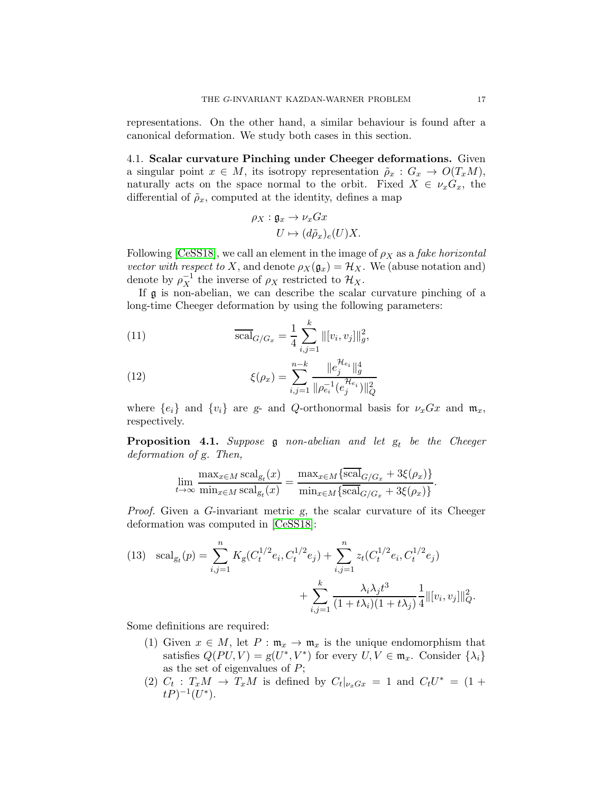representations. On the other hand, a similar behaviour is found after a canonical deformation. We study both cases in this section.

4.1. Scalar curvature Pinching under Cheeger deformations. Given a singular point  $x \in M$ , its isotropy representation  $\tilde{\rho}_x : G_x \to O(T_xM)$ , naturally acts on the space normal to the orbit. Fixed  $X \in \nu_x G_x$ , the differential of  $\tilde{\rho}_x$ , computed at the identity, defines a map

$$
\rho_X: \mathfrak{g}_x \to \nu_x Gx
$$

$$
U \mapsto (d\tilde{\rho}_x)_e(U)X.
$$

Following [\[CeSS18\]](#page-35-5), we call an element in the image of  $\rho_X$  as a *fake horizontal* vector with respect to X, and denote  $\rho_X(\mathfrak{g}_x) = \mathcal{H}_X$ . We (abuse notation and) denote by  $\rho_X^{-1}$  the inverse of  $\rho_X$  restricted to  $\mathcal{H}_X$ .

If g is non-abelian, we can describe the scalar curvature pinching of a long-time Cheeger deformation by using the following parameters:

(11) 
$$
\overline{\text{scal}}_{G/G_x} = \frac{1}{4} \sum_{i,j=1}^k ||[v_i, v_j]||_g^2,
$$

(12) 
$$
\xi(\rho_x) = \sum_{i,j=1}^{n-k} \frac{\|e_j^{\mathcal{H}_{e_i}}\|_g^4}{\|\rho_{e_i}^{-1}(e_j^{\mathcal{H}_{e_i}})\|_Q^2}
$$

where  $\{e_i\}$  and  $\{v_i\}$  are g- and Q-orthonormal basis for  $\nu_xGx$  and  $\mathfrak{m}_x$ , respectively.

<span id="page-16-1"></span>**Proposition 4.1.** Suppose  $\mathfrak g$  non-abelian and let  $g_t$  be the Cheeger deformation of g. Then,

$$
\lim_{t \to \infty} \frac{\max_{x \in M} \operatorname{scal}_{g_t}(x)}{\min_{x \in M} \operatorname{scal}_{g_t}(x)} = \frac{\max_{x \in M} \{\operatorname{scal}_{G/G_x} + 3\xi(\rho_x)\}}{\min_{x \in M} \{\operatorname{scal}_{G/G_x} + 3\xi(\rho_x)\}}.
$$

Proof. Given a G-invariant metric g, the scalar curvature of its Cheeger deformation was computed in [\[CeSS18\]](#page-35-5):

<span id="page-16-0"></span>(13) 
$$
\text{scal}_{g_t}(p) = \sum_{i,j=1}^n K_g(C_t^{1/2}e_i, C_t^{1/2}e_j) + \sum_{i,j=1}^n z_t(C_t^{1/2}e_i, C_t^{1/2}e_j) + \sum_{i,j=1}^k \frac{\lambda_i \lambda_j t^3}{(1 + t\lambda_i)(1 + t\lambda_j)} \frac{1}{4} ||[v_i, v_j]||_Q^2.
$$

Some definitions are required:

- (1) Given  $x \in M$ , let  $P : \mathfrak{m}_x \to \mathfrak{m}_x$  is the unique endomorphism that satisfies  $Q(PU, V) = g(U^*, V^*)$  for every  $U, V \in \mathfrak{m}_x$ . Consider  $\{\lambda_i\}$ as the set of eigenvalues of P;
- (2)  $C_t$ :  $T_xM \rightarrow T_xM$  is defined by  $C_t|_{\nu_xG_x} = 1$  and  $C_tU^* = (1 +$  $tP)^{-1}(U^*).$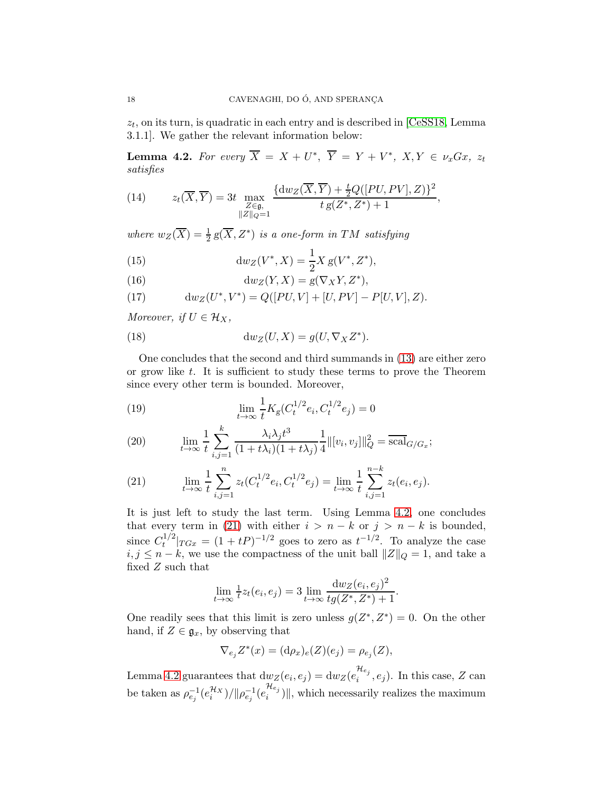$z_t$ , on its turn, is quadratic in each entry and is described in [\[CeSS18,](#page-35-5) Lemma 3.1.1]. We gather the relevant information below:

<span id="page-17-0"></span>**Lemma 4.2.** For every  $\overline{X} = X + U^*$ ,  $\overline{Y} = Y + V^*$ ,  $X, Y \in \nu_x Gx$ ,  $z_t$ satisfies

(14) 
$$
z_t(\overline{X}, \overline{Y}) = 3t \max_{\substack{Z \in \mathfrak{g}, \\ ||Z||_Q = 1}} \frac{\{ dw_Z(\overline{X}, \overline{Y}) + \frac{t}{2}Q([PU, PV], Z)\}^2}{t g(Z^*, Z^*) + 1},
$$

where  $w_Z(\overline{X}) = \frac{1}{2} g(\overline{X}, Z^*)$  is a one-form in TM satisfying

(15) 
$$
\mathrm{d}w_Z(V^*, X) = \frac{1}{2} X g(V^*, Z^*),
$$

(16) 
$$
\mathrm{d}w_Z(Y,X) = g(\nabla_X Y,Z^*),
$$

(17) 
$$
dw_Z(U^*, V^*) = Q([PU, V] + [U, PV] - P[U, V], Z).
$$

Moreover, if  $U \in \mathcal{H}_X$ ,

(18) 
$$
\mathrm{d}w_Z(U,X) = g(U,\nabla_X Z^*).
$$

One concludes that the second and third summands in [\(13\)](#page-16-0) are either zero or grow like  $t$ . It is sufficient to study these terms to prove the Theorem since every other term is bounded. Moreover,

(19) 
$$
\lim_{t \to \infty} \frac{1}{t} K_{g}(C_t^{1/2} e_i, C_t^{1/2} e_j) = 0
$$

(20) 
$$
\lim_{t \to \infty} \frac{1}{t} \sum_{i,j=1}^k \frac{\lambda_i \lambda_j t^3}{(1+t\lambda_i)(1+t\lambda_j)} \frac{1}{4} ||[v_i, v_j]||_Q^2 = \overline{\text{scal}}_{G/G_x};
$$

<span id="page-17-1"></span>(21) 
$$
\lim_{t \to \infty} \frac{1}{t} \sum_{i,j=1}^{n} z_t (C_t^{1/2} e_i, C_t^{1/2} e_j) = \lim_{t \to \infty} \frac{1}{t} \sum_{i,j=1}^{n-k} z_t (e_i, e_j).
$$

It is just left to study the last term. Using Lemma [4.2,](#page-17-0) one concludes that every term in [\(21\)](#page-17-1) with either  $i > n - k$  or  $j > n - k$  is bounded, since  $C_t^{1/2}$  $t^{1/2}$   $|T G x = (1 + tP)^{-1/2}$  goes to zero as  $t^{-1/2}$ . To analyze the case  $i, j \leq n - k$ , we use the compactness of the unit ball  $||Z||_Q = 1$ , and take a fixed Z such that

$$
\lim_{t \to \infty} \frac{1}{t} z_t(e_i, e_j) = 3 \lim_{t \to \infty} \frac{dw_Z(e_i, e_j)^2}{tg(Z^*, Z^*) + 1}.
$$

One readily sees that this limit is zero unless  $g(Z^*, Z^*) = 0$ . On the other hand, if  $Z \in \mathfrak{g}_x$ , by observing that

$$
\nabla_{e_j} Z^*(x) = (\mathrm{d}\rho_x)_e(Z)(e_j) = \rho_{e_j}(Z),
$$

Lemma [4.2](#page-17-0) guarantees that  $dw_Z(e_i, e_j) = dw_Z(e_i^{\mathcal{H}_{e_j}})$  $i^{reg}$ ,  $e_j$ ). In this case, Z can be taken as  $\rho_{e_j}^{-1}(e_i^{\mathcal{H}_X})/||\rho_{e_j}^{-1}(e_i^{\mathcal{H}_{e_j}})$  $\binom{n_{e_j}}{i}$ , which necessarily realizes the maximum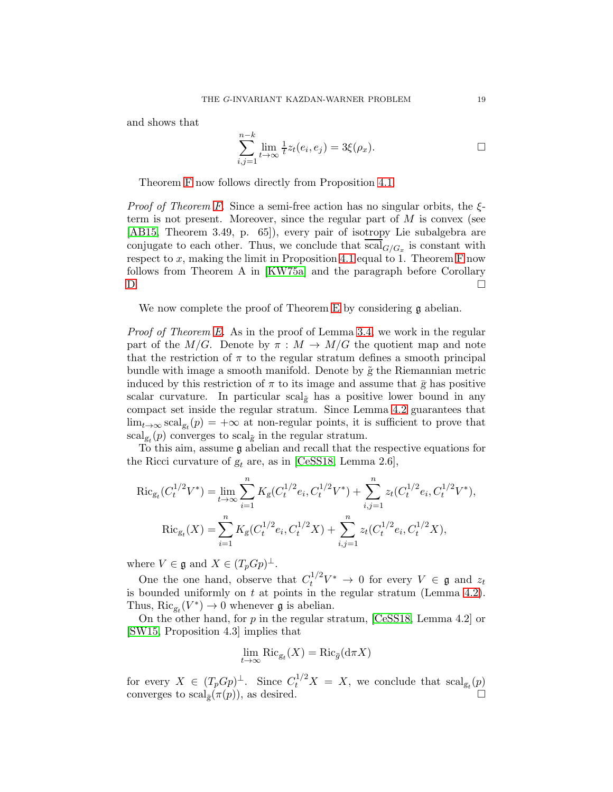and shows that

$$
\sum_{i,j=1}^{n-k} \lim_{t \to \infty} \frac{1}{t} z_t(e_i, e_j) = 3\xi(\rho_x).
$$

Theorem [F](#page-3-1) now follows directly from Proposition [4.1.](#page-16-1)

*Proof of Theorem [F.](#page-3-1)* Since a semi-free action has no singular orbits, the  $\xi$ term is not present. Moreover, since the regular part of  $M$  is convex (see [\[AB15,](#page-34-1) Theorem 3.49, p. 65]), every pair of isotropy Lie subalgebra are conjugate to each other. Thus, we conclude that  $\operatorname{scal}_{G/G_x}$  is constant with respect to  $x$ , making the limit in Proposition [4.1](#page-16-1) equal to 1. Theorem [F](#page-3-1) now follows from Theorem A in [\[KW75a\]](#page-36-10) and the paragraph before Corollary [D.](#page-2-1)

We now complete the proof of Theorem [E](#page-3-0) by considering  $\mathfrak g$  abelian.

Proof of Theorem [E.](#page-3-0) As in the proof of Lemma [3.4,](#page-9-0) we work in the regular part of the  $M/G$ . Denote by  $\pi : M \to M/G$  the quotient map and note that the restriction of  $\pi$  to the regular stratum defines a smooth principal bundle with image a smooth manifold. Denote by  $\tilde{g}$  the Riemannian metric induced by this restriction of  $\pi$  to its image and assume that  $\bar{g}$  has positive scalar curvature. In particular scal<sub> $\tilde{g}$ </sub> has a positive lower bound in any compact set inside the regular stratum. Since Lemma [4.2](#page-17-0) guarantees that  $\lim_{t\to\infty} \operatorname{scal}_{g_t}(p) = +\infty$  at non-regular points, it is sufficient to prove that  $\text{scal}_{g_t}(p)$  converges to  $\text{scal}_{\tilde{g}}$  in the regular stratum.

To this aim, assume g abelian and recall that the respective equations for the Ricci curvature of  $g_t$  are, as in [\[CeSS18,](#page-35-5) Lemma 2.6],

$$
\operatorname{Ric}_{g_t}(C_t^{1/2}V^*) = \lim_{t \to \infty} \sum_{i=1}^n K_g(C_t^{1/2}e_i, C_t^{1/2}V^*) + \sum_{i,j=1}^n z_t(C_t^{1/2}e_i, C_t^{1/2}V^*),
$$
  
\n
$$
\operatorname{Ric}_{g_t}(X) = \sum_{i=1}^n K_g(C_t^{1/2}e_i, C_t^{1/2}X) + \sum_{i,j=1}^n z_t(C_t^{1/2}e_i, C_t^{1/2}X),
$$

where  $V \in \mathfrak{g}$  and  $X \in (T_p G p)^{\perp}$ .

One the one hand, observe that  $C_t^{1/2}V^* \to 0$  for every  $V \in \mathfrak{g}$  and  $z_t$ is bounded uniformly on  $t$  at points in the regular stratum (Lemma [4.2\)](#page-17-0). Thus,  $\text{Ric}_{g_t}(V^*) \to 0$  whenever **g** is abelian.

On the other hand, for  $p$  in the regular stratum, [\[CeSS18,](#page-35-5) Lemma 4.2] or [\[SW15,](#page-36-20) Proposition 4.3] implies that

$$
\lim_{t \to \infty} \text{Ric}_{g_t}(X) = \text{Ric}_{\bar{g}}(\text{d}\pi X)
$$

for every  $X \in (T_p G p)^{\perp}$ . Since  $C_t^{1/2} X = X$ , we conclude that  $\text{scal}_{g_t}(p)$ converges to  $\text{scal}_{\bar{e}}(\pi(p))$ , as desired.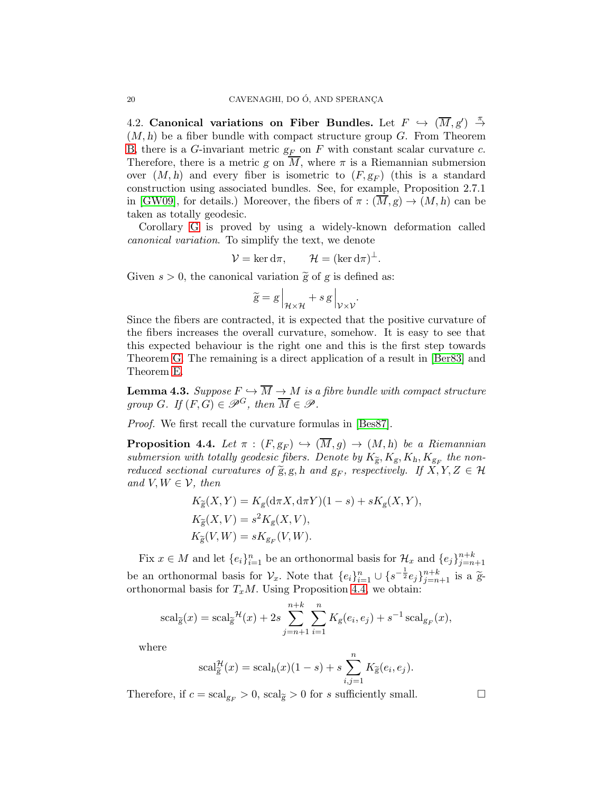4.2. Canonical variations on Fiber Bundles. Let  $F$   $\hookrightarrow$   $(\overline{M}, g')$   $\stackrel{\pi}{\rightarrow}$  $(M, h)$  be a fiber bundle with compact structure group  $G$ . From Theorem [B,](#page-1-1) there is a G-invariant metric  $g_F$  on F with constant scalar curvature c. Therefore, there is a metric g on  $\overline{M}$ , where  $\pi$  is a Riemannian submersion over  $(M, h)$  and every fiber is isometric to  $(F, g_F)$  (this is a standard construction using associated bundles. See, for example, Proposition 2.7.1 in [\[GW09\]](#page-35-15), for details.) Moreover, the fibers of  $\pi : (\overline{M}, g) \to (M, h)$  can be taken as totally geodesic.

Corollary [G](#page-3-2) is proved by using a widely-known deformation called canonical variation. To simplify the text, we denote

$$
\mathcal{V} = \ker \mathrm{d}\pi, \qquad \mathcal{H} = (\ker \mathrm{d}\pi)^{\perp}.
$$

Given  $s > 0$ , the canonical variation  $\tilde{g}$  of g is defined as:

$$
\widetilde{g} = g \Big|_{\mathcal{H} \times \mathcal{H}} + s \, g \Big|_{\mathcal{V} \times \mathcal{V}}.
$$

Since the fibers are contracted, it is expected that the positive curvature of the fibers increases the overall curvature, somehow. It is easy to see that this expected behaviour is the right one and this is the first step towards Theorem [G.](#page-3-2) The remaining is a direct application of a result in [\[Ber83\]](#page-35-1) and Theorem [E.](#page-3-0)

<span id="page-19-1"></span>**Lemma 4.3.** Suppose  $F \hookrightarrow \overline{M} \to M$  is a fibre bundle with compact structure group G. If  $(F, G) \in \mathscr{P}^G$ , then  $\overline{M} \in \mathscr{P}$ .

Proof. We first recall the curvature formulas in [\[Bes87\]](#page-35-16).

<span id="page-19-0"></span>**Proposition 4.4.** Let  $\pi : (F, g_F) \hookrightarrow (\overline{M}, g) \rightarrow (M, h)$  be a Riemannian submersion with totally geodesic fibers. Denote by  $K_{\widetilde{g}}, K_g, K_h, K_{g_F}$  the nonreduced sectional curvatures of  $\widetilde{g}, g, h$  and  $g_F$ , respectively. If  $X, Y, Z \in \mathcal{H}$ and  $V, W \in \mathcal{V}$ , then

$$
K_{\widetilde{g}}(X,Y) = K_g(d\pi X, d\pi Y)(1-s) + sK_g(X,Y),
$$
  
\n
$$
K_{\widetilde{g}}(X,V) = s^2K_g(X,V),
$$
  
\n
$$
K_{\widetilde{g}}(V,W) = sK_{g_F}(V,W).
$$

Fix  $x \in M$  and let  $\{e_i\}_{i=1}^n$  be an orthonormal basis for  $\mathcal{H}_x$  and  $\{e_j\}_{j=n+1}^{n+k}$ be an orthonormal basis for  $\mathcal{V}_x$ . Note that  $\{e_i\}_{i=1}^n \cup \{s^{-\frac{1}{2}}e_j\}_{j=n+1}^{n+k}$  is a  $\tilde{g}$ orthonormal basis for  $T_xM$ . Using Proposition [4.4,](#page-19-0) we obtain:

$$
scal_{\widetilde{g}}(x) = scal_{\widetilde{g}}^{\mathcal{H}}(x) + 2s \sum_{j=n+1}^{n+k} \sum_{i=1}^{n} K_g(e_i, e_j) + s^{-1} scal_{g_F}(x),
$$

where

$$
scal_{\widetilde{g}}^{\mathcal{H}}(x) = scal_h(x)(1-s) + s \sum_{i,j=1}^{n} K_{\widetilde{g}}(e_i, e_j).
$$

Therefore, if  $c = \text{scal}_{g_F} > 0$ ,  $\text{scal}_{\tilde{g}} > 0$  for s sufficiently small.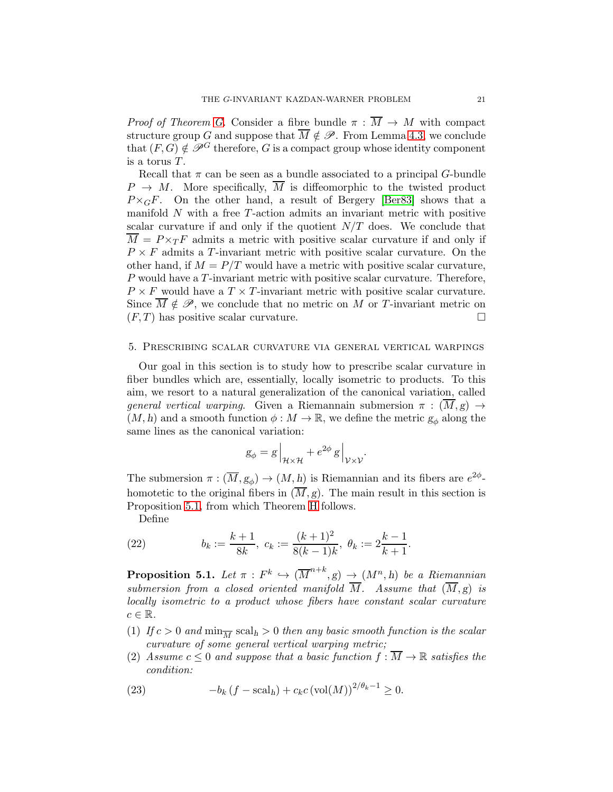*Proof of Theorem [G.](#page-3-2)* Consider a fibre bundle  $\pi : \overline{M} \to M$  with compact structure group G and suppose that  $\overline{M} \notin \mathscr{P}$ . From Lemma [4.3,](#page-19-1) we conclude that  $(F, G) \notin \mathscr{P}^G$  therefore, G is a compact group whose identity component is a torus T.

Recall that  $\pi$  can be seen as a bundle associated to a principal G-bundle  $P \rightarrow M$ . More specifically,  $\overline{M}$  is diffeomorphic to the twisted product  $P\times_{G}F$ . On the other hand, a result of Bergery [\[Ber83\]](#page-35-1) shows that a manifold N with a free T-action admits an invariant metric with positive scalar curvature if and only if the quotient  $N/T$  does. We conclude that  $\overline{M} = P \times_T F$  admits a metric with positive scalar curvature if and only if  $P \times F$  admits a T-invariant metric with positive scalar curvature. On the other hand, if  $M = P/T$  would have a metric with positive scalar curvature, P would have a T-invariant metric with positive scalar curvature. Therefore,  $P \times F$  would have a  $T \times T$ -invariant metric with positive scalar curvature. Since  $\overline{M} \notin \mathscr{P}$ , we conclude that no metric on M or T-invariant metric on  $(F, T)$  has positive scalar curvature.

#### <span id="page-20-0"></span>5. Prescribing scalar curvature via general vertical warpings

Our goal in this section is to study how to prescribe scalar curvature in fiber bundles which are, essentially, locally isometric to products. To this aim, we resort to a natural generalization of the canonical variation, called general vertical warping. Given a Riemannain submersion  $\pi : (\overline{M},g) \rightarrow$  $(M, h)$  and a smooth function  $\phi : M \to \mathbb{R}$ , we define the metric  $g_{\phi}$  along the same lines as the canonical variation:

$$
g_{\phi} = g \Big|_{\mathcal{H} \times \mathcal{H}} + e^{2\phi} g \Big|_{\mathcal{V} \times \mathcal{V}}.
$$

The submersion  $\pi : (\overline{M}, g_{\phi}) \to (M, h)$  is Riemannian and its fibers are  $e^{2\phi}$ homotetic to the original fibers in  $(\overline{M}, g)$ . The main result in this section is Proposition [5.1,](#page-20-1) from which Theorem [H](#page-4-0) follows.

Define

(22) 
$$
b_k := \frac{k+1}{8k}, \ c_k := \frac{(k+1)^2}{8(k-1)k}, \ \theta_k := 2\frac{k-1}{k+1}.
$$

<span id="page-20-1"></span>**Proposition 5.1.** Let  $\pi$  :  $F^k \hookrightarrow (\overline{M}^{n+k}, g) \rightarrow (M^n, h)$  be a Riemannian submersion from a closed oriented manifold  $\overline{M}$ . Assume that  $(\overline{M}, g)$  is locally isometric to a product whose fibers have constant scalar curvature  $c \in \mathbb{R}$ .

- (1) If  $c > 0$  and  $\min_{\overline{M}} \text{scal}_{h} > 0$  then any basic smooth function is the scalar curvature of some general vertical warping metric;
- (2) Assume  $c \leq 0$  and suppose that a basic function  $f : \overline{M} \to \mathbb{R}$  satisfies the condition:

<span id="page-20-2"></span>(23) 
$$
-b_k(f - \mathrm{scal}_h) + c_k c (\mathrm{vol}(M))^{2/\theta_k - 1} \ge 0.
$$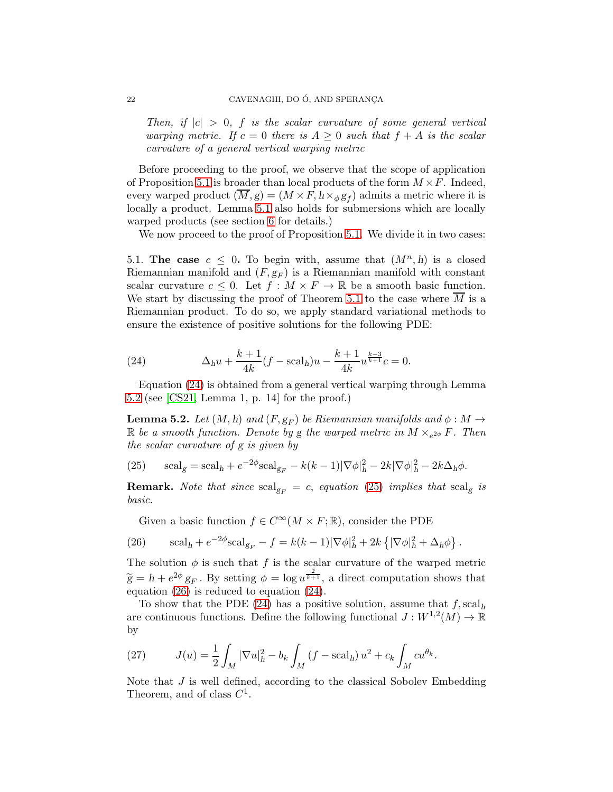Then, if  $|c| > 0$ , f is the scalar curvature of some general vertical warping metric. If  $c = 0$  there is  $A \geq 0$  such that  $f + A$  is the scalar curvature of a general vertical warping metric

Before proceeding to the proof, we observe that the scope of application of Proposition [5.1](#page-20-1) is broader than local products of the form  $M \times F$ . Indeed, every warped product  $(M, g) = (M \times F, h \times_{\phi} g_f)$  admits a metric where it is locally a product. Lemma [5.1](#page-20-1) also holds for submersions which are locally warped products (see section [6](#page-26-0) for details.)

We now proceed to the proof of Proposition [5.1.](#page-20-1) We divide it in two cases:

<span id="page-21-4"></span>5.1. The case  $c \leq 0$ . To begin with, assume that  $(M^n, h)$  is a closed Riemannian manifold and  $(F, g_F)$  is a Riemannian manifold with constant scalar curvature  $c \leq 0$ . Let  $f : M \times F \to \mathbb{R}$  be a smooth basic function. We start by discussing the proof of Theorem [5.1](#page-20-1) to the case where  $\overline{M}$  is a Riemannian product. To do so, we apply standard variational methods to ensure the existence of positive solutions for the following PDE:

<span id="page-21-0"></span>(24) 
$$
\Delta_h u + \frac{k+1}{4k} (f - \mathrm{scal}_h) u - \frac{k+1}{4k} u^{\frac{k-3}{k+1}} c = 0.
$$

Equation [\(24\)](#page-21-0) is obtained from a general vertical warping through Lemma [5.2](#page-21-1) (see [\[CS21,](#page-35-17) Lemma 1, p. 14] for the proof.)

<span id="page-21-1"></span>**Lemma 5.2.** Let  $(M, h)$  and  $(F, g_F)$  be Riemannian manifolds and  $\phi : M \to$  $\mathbb R$  be a smooth function. Denote by g the warped metric in  $M \times_{e^{2\phi}} F$ . Then the scalar curvature of g is given by

<span id="page-21-2"></span>(25) 
$$
\mathrm{scal}_{g} = \mathrm{scal}_{h} + e^{-2\phi} \mathrm{scal}_{g_{F}} - k(k-1) |\nabla \phi|_{h}^{2} - 2k |\nabla \phi|_{h}^{2} - 2k \Delta_{h} \phi.
$$

**Remark.** Note that since  $\text{scal}_{g_F} = c$ , equation [\(25\)](#page-21-2) implies that  $\text{scal}_g$  is basic.

<span id="page-21-3"></span>Given a basic function  $f \in C^{\infty}(M \times F; \mathbb{R})$ , consider the PDE

(26) 
$$
\mathrm{scal}_h + e^{-2\phi}\mathrm{scal}_{g_F} - f = k(k-1)|\nabla \phi|_h^2 + 2k\left\{|\nabla \phi|_h^2 + \Delta_h \phi\right\}.
$$

The solution  $\phi$  is such that f is the scalar curvature of the warped metric  $\widetilde{g} = h + e^{2\phi} g_F$ . By setting  $\phi = \log u^{\frac{2}{k+1}}$ , a direct computation shows that equation [\(26\)](#page-21-3) is reduced to equation [\(24\)](#page-21-0).

To show that the PDE [\(24\)](#page-21-0) has a positive solution, assume that  $f$ , scal<sub>h</sub> are continuous functions. Define the following functional  $J: W^{1,2}(M) \to \mathbb{R}$ by

(27) 
$$
J(u) = \frac{1}{2} \int_M |\nabla u|_h^2 - b_k \int_M (f - \mathrm{scal}_h) u^2 + c_k \int_M c u^{\theta_k}.
$$

Note that  $J$  is well defined, according to the classical Sobolev Embedding Theorem, and of class  $C^1$ .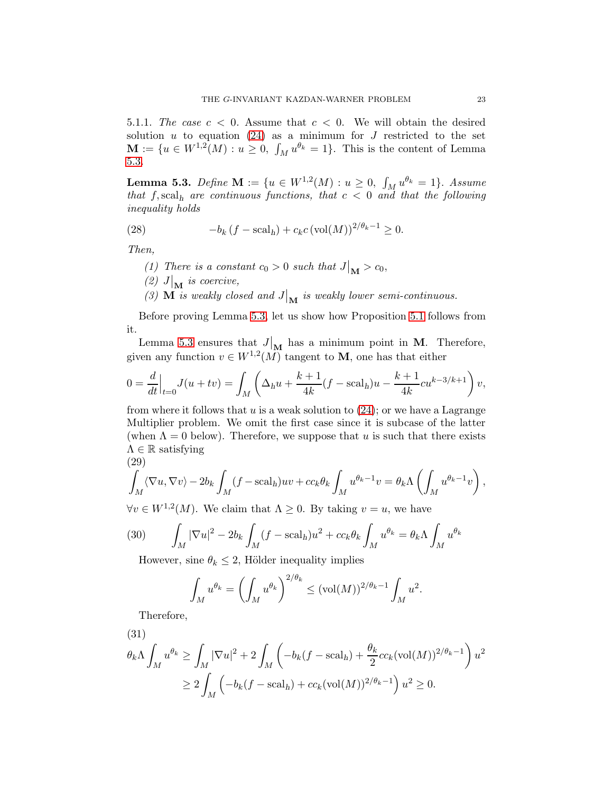5.1.1. The case  $c < 0$ . Assume that  $c < 0$ . We will obtain the desired solution  $u$  to equation [\(24\)](#page-21-0) as a minimum for  $J$  restricted to the set  $\mathbf{M} := \{u \in W^{1,2}(M) : u \geq 0, \int_M u^{\theta_k} = 1\}.$  This is the content of Lemma [5.3.](#page-22-0)

<span id="page-22-0"></span>**Lemma 5.3.** Define  $M := \{u \in W^{1,2}(M) : u \ge 0, \int_M u^{\theta_k} = 1\}$ . Assume that  $f$ , scal<sub>h</sub> are continuous functions, that  $c < 0$  and that the following inequality holds

(28) 
$$
-b_k (f - \mathrm{scal}_h) + c_k c (\mathrm{vol}(M))^{2/\theta_k - 1} \ge 0.
$$

Then,

- (1) There is a constant  $c_0 > 0$  such that  $J|_{\mathbf{M}} > c_0$ ,
- (2)  $J|_{\mathbf{M}}$  is coercive,
- (3)  $\overline{M}$  is weakly closed and  $J|_{\overline{M}}$  is weakly lower semi-continuous.

Before proving Lemma [5.3,](#page-22-0) let us show how Proposition [5.1](#page-20-1) follows from it.

Lemma [5.3](#page-22-0) ensures that  $J|_M$  has a minimum point in M. Therefore, given any function  $v \in W^{1,2}(M)$  tangent to **M**, one has that either

$$
0 = \frac{d}{dt}\Big|_{t=0} J(u+tv) = \int_M \left(\Delta_h u + \frac{k+1}{4k}(f - \text{scal}_h)u - \frac{k+1}{4k}cu^{k-3/k+1}\right)v,
$$

from where it follows that u is a weak solution to  $(24)$ ; or we have a Lagrange Multiplier problem. We omit the first case since it is subcase of the latter (when  $\Lambda = 0$  below). Therefore, we suppose that u is such that there exists  $\Lambda \in \mathbb{R}$  satisfying (29)

<span id="page-22-1"></span>
$$
\int_M \langle \nabla u, \nabla v \rangle - 2b_k \int_M (f - \mathrm{scal}_h) uv + c c_k \theta_k \int_M u^{\theta_k - 1} v = \theta_k \Lambda \left( \int_M u^{\theta_k - 1} v \right),
$$

 $\forall v \in W^{1,2}(M)$ . We claim that  $\Lambda \geq 0$ . By taking  $v = u$ , we have

(30) 
$$
\int_M |\nabla u|^2 - 2b_k \int_M (f - \mathrm{scal}_h) u^2 + c c_k \theta_k \int_M u^{\theta_k} = \theta_k \Lambda \int_M u^{\theta_k}
$$

However, sine  $\theta_k \leq 2$ , Hölder inequality implies

$$
\int_M u^{\theta_k} = \left(\int_M u^{\theta_k}\right)^{2/\theta_k} \leq (\text{vol}(M))^{2/\theta_k - 1} \int_M u^2.
$$

Therefore,

<span id="page-22-2"></span>
$$
(31)
$$

$$
\theta_k \Lambda \int_M u^{\theta_k} \ge \int_M |\nabla u|^2 + 2 \int_M \left( -b_k (f - \text{scal}_h) + \frac{\theta_k}{2} c c_k (\text{vol}(M))^{2/\theta_k - 1} \right) u^2
$$
  

$$
\ge 2 \int_M \left( -b_k (f - \text{scal}_h) + c c_k (\text{vol}(M))^{2/\theta_k - 1} \right) u^2 \ge 0.
$$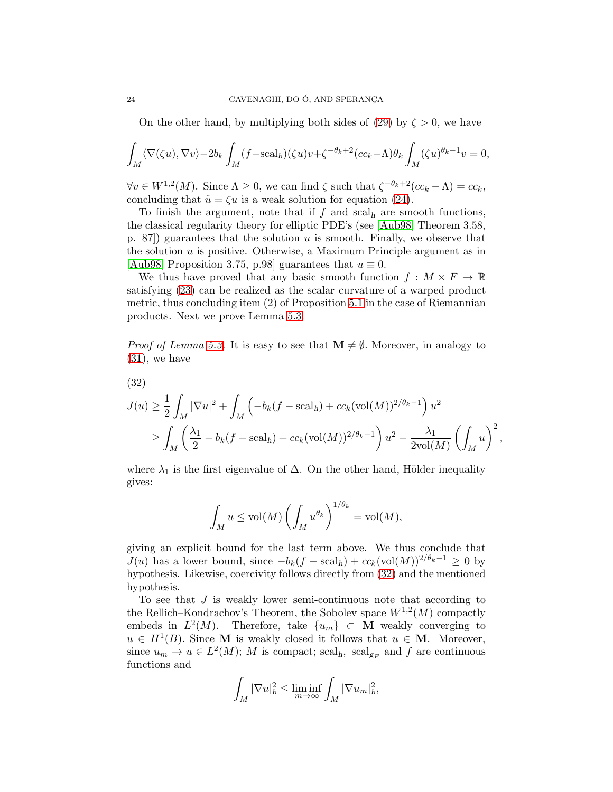On the other hand, by multiplying both sides of [\(29\)](#page-22-1) by  $\zeta > 0$ , we have

$$
\int_M \langle \nabla(\zeta u), \nabla v \rangle - 2b_k \int_M (f - \mathrm{scal}_h)(\zeta u) v + \zeta^{-\theta_k + 2} (cc_k - \Lambda) \theta_k \int_M (\zeta u)^{\theta_k - 1} v = 0,
$$

 $\forall v \in W^{1,2}(M)$ . Since  $\Lambda \geq 0$ , we can find  $\zeta$  such that  $\zeta^{-\theta_k+2}(cc_k - \Lambda) = cc_k$ , concluding that  $\tilde{u} = \zeta u$  is a weak solution for equation [\(24\)](#page-21-0).

To finish the argument, note that if f and scal<sub>h</sub> are smooth functions, the classical regularity theory for elliptic PDE's (see [\[Aub98,](#page-34-2) Theorem 3.58, p. 87) guarantees that the solution  $u$  is smooth. Finally, we observe that the solution  $u$  is positive. Otherwise, a Maximum Principle argument as in [\[Aub98,](#page-34-2) Proposition 3.75, p.98] guarantees that  $u \equiv 0$ .

We thus have proved that any basic smooth function  $f : M \times F \to \mathbb{R}$ satisfying [\(23\)](#page-20-2) can be realized as the scalar curvature of a warped product metric, thus concluding item (2) of Proposition [5.1](#page-20-1) in the case of Riemannian products. Next we prove Lemma [5.3.](#page-22-0)

*Proof of Lemma [5.3.](#page-22-0)* It is easy to see that  $\mathbf{M} \neq \emptyset$ . Moreover, in analogy to [\(31\)](#page-22-2), we have

<span id="page-23-0"></span>
$$
(32)
$$

$$
J(u) \ge \frac{1}{2} \int_M |\nabla u|^2 + \int_M \left( -b_k (f - \text{scal}_h) + cc_k (\text{vol}(M))^{2/\theta_k - 1} \right) u^2
$$
  

$$
\ge \int_M \left( \frac{\lambda_1}{2} - b_k (f - \text{scal}_h) + cc_k (\text{vol}(M))^{2/\theta_k - 1} \right) u^2 - \frac{\lambda_1}{2 \text{vol}(M)} \left( \int_M u \right)^2,
$$

where  $\lambda_1$  is the first eigenvalue of  $\Delta$ . On the other hand, Hölder inequality gives:

$$
\int_M u \le \text{vol}(M) \left( \int_M u^{\theta_k} \right)^{1/\theta_k} = \text{vol}(M),
$$

giving an explicit bound for the last term above. We thus conclude that  $J(u)$  has a lower bound, since  $-b_k(f - \text{scal}_h) + cc_k(\text{vol}(M))^{2/\theta_k - 1} \geq 0$  by hypothesis. Likewise, coercivity follows directly from [\(32\)](#page-23-0) and the mentioned hypothesis.

To see that  $J$  is weakly lower semi-continuous note that according to the Rellich–Kondrachov's Theorem, the Sobolev space  $W^{1,2}(M)$  compactly embeds in  $L^2(M)$ . Therefore, take  $\{u_m\} \subset \mathbf{M}$  weakly converging to  $u \in H^1(B)$ . Since **M** is weakly closed it follows that  $u \in M$ . Moreover, since  $u_m \to u \in L^2(M)$ ; M is compact; scal<sub>h</sub>, scal<sub>g<sub>F</sub></sub> and f are continuous functions and

$$
\int_M |\nabla u|_h^2 \le \liminf_{m \to \infty} \int_M |\nabla u_m|_h^2,
$$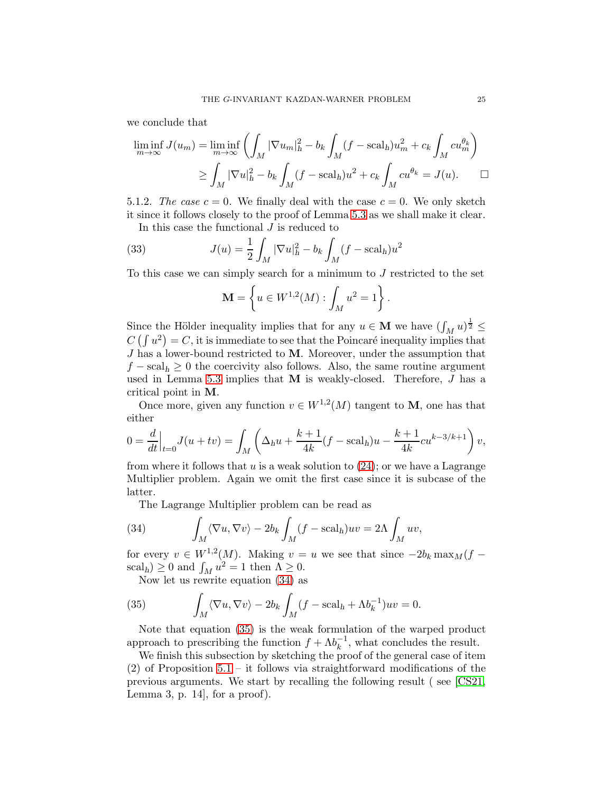we conclude that

$$
\liminf_{m \to \infty} J(u_m) = \liminf_{m \to \infty} \left( \int_M |\nabla u_m|_h^2 - b_k \int_M (f - \mathrm{scal}_h) u_m^2 + c_k \int_M c u_m^{\theta_k} \right)
$$

$$
\geq \int_M |\nabla u|_h^2 - b_k \int_M (f - \mathrm{scal}_h) u^2 + c_k \int_M c u^{\theta_k} = J(u). \qquad \Box
$$

5.1.2. The case  $c = 0$ . We finally deal with the case  $c = 0$ . We only sketch it since it follows closely to the proof of Lemma [5.3](#page-22-0) as we shall make it clear.

In this case the functional J is reduced to

(33) 
$$
J(u) = \frac{1}{2} \int_M |\nabla u|_h^2 - b_k \int_M (f - \text{scal}_h) u^2
$$

To this case we can simply search for a minimum to  $J$  restricted to the set

$$
\mathbf{M} = \left\{ u \in W^{1,2}(M) : \int_M u^2 = 1 \right\}.
$$

Since the Hölder inequality implies that for any  $u \in \mathbf{M}$  we have  $(\int_M u)^{\frac{1}{2}} \leq$  $C\left(\int u^2\right) = C$ , it is immediate to see that the Poincaré inequality implies that  $J$  has a lower-bound restricted to  $M$ . Moreover, under the assumption that  $f - \text{scal}_h \geq 0$  the coercivity also follows. Also, the same routine argument used in Lemma [5.3](#page-22-0) implies that M is weakly-closed. Therefore, J has a critical point in M.

Once more, given any function  $v \in W^{1,2}(M)$  tangent to **M**, one has that either

$$
0 = \frac{d}{dt}\Big|_{t=0} J(u+tv) = \int_M \left(\Delta_h u + \frac{k+1}{4k}(f - \text{scal}_h)u - \frac{k+1}{4k}cu^{k-3/k+1}\right)v,
$$

from where it follows that u is a weak solution to  $(24)$ ; or we have a Lagrange Multiplier problem. Again we omit the first case since it is subcase of the latter.

<span id="page-24-0"></span>The Lagrange Multiplier problem can be read as

(34) 
$$
\int_M \langle \nabla u, \nabla v \rangle - 2b_k \int_M (f - \mathrm{scal}_h) uv = 2\Lambda \int_M uv,
$$

for every  $v \in W^{1,2}(M)$ . Making  $v = u$  we see that since  $-2b_k \max_M (f \operatorname{scal}_h) \geq 0$  and  $\int_M u^2 = 1$  then  $\Lambda \geq 0$ .

<span id="page-24-1"></span>Now let us rewrite equation [\(34\)](#page-24-0) as

(35) 
$$
\int_M \langle \nabla u, \nabla v \rangle - 2b_k \int_M (f - \mathrm{scal}_h + \Lambda b_k^{-1}) uv = 0.
$$

Note that equation [\(35\)](#page-24-1) is the weak formulation of the warped product approach to prescribing the function  $f + \Lambda b_k^{-1}$  $\overline{k}^1$ , what concludes the result.

We finish this subsection by sketching the proof of the general case of item  $(2)$  of Proposition [5.1](#page-20-1) – it follows via straightforward modifications of the previous arguments. We start by recalling the following result ( see [\[CS21,](#page-35-17) Lemma 3, p. 14], for a proof).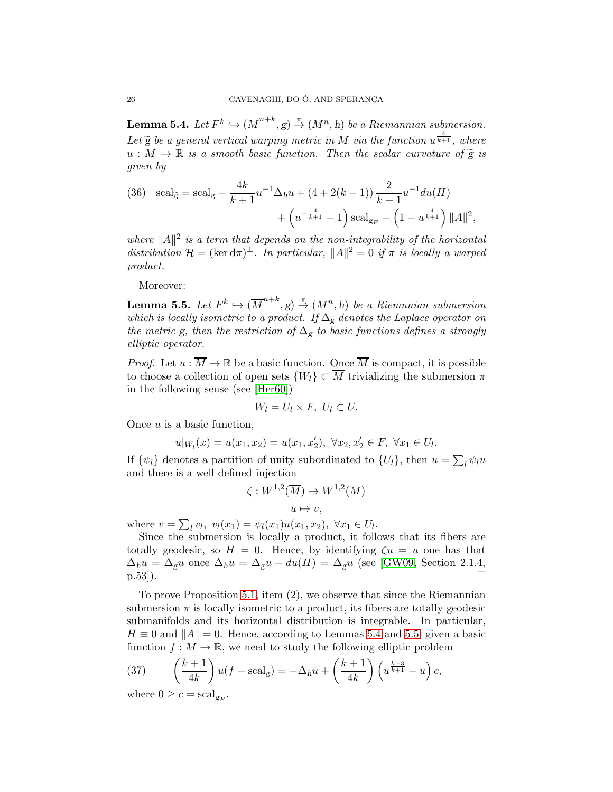<span id="page-25-0"></span>**Lemma 5.4.** Let  $F^k \hookrightarrow (\overline{M}^{n+k}, g) \stackrel{\pi}{\rightarrow} (M^n, h)$  be a Riemannian submersion. Let  $\widetilde{g}$  be a general vertical warping metric in M via the function  $u^{\frac{4}{k+1}}$ , where  $u : M \to \mathbb{R}$  is a smooth basic function. Then the scalar curvature of  $\tilde{g}$  is given by

(36) 
$$
\text{scal}_{\widetilde{g}} = \text{scal}_{g} - \frac{4k}{k+1} u^{-1} \Delta_h u + (4+2(k-1)) \frac{2}{k+1} u^{-1} du(H) + \left( u^{-\frac{4}{k+1}} - 1 \right) \text{scal}_{g_F} - \left( 1 - u^{\frac{4}{k+1}} \right) ||A||^2,
$$

where  $||A||^2$  is a term that depends on the non-integrability of the horizontal distribution  $\mathcal{H} = (\ker d\pi)^{\perp}$ . In particular,  $||A||^2 = 0$  if  $\pi$  is locally a warped product.

Moreover:

<span id="page-25-1"></span>**Lemma 5.5.** Let  $F^k \hookrightarrow (\overline{M}^{n+k}, g) \stackrel{\pi}{\rightarrow} (M^n, h)$  be a Riemnnian submersion which is locally isometric to a product. If  $\Delta_g$  denotes the Laplace operator on the metric g, then the restriction of  $\Delta_g$  to basic functions defines a strongly elliptic operator.

*Proof.* Let  $u : \overline{M} \to \mathbb{R}$  be a basic function. Once  $\overline{M}$  is compact, it is possible to choose a collection of open sets  $\{W_l\} \subset \overline{M}$  trivializing the submersion  $\pi$ in the following sense (see [\[Her60\]](#page-35-18))

$$
W_l = U_l \times F, \ U_l \subset U.
$$

Once  $u$  is a basic function,

$$
u|_{W_l}(x) = u(x_1, x_2) = u(x_1, x_2'), \ \forall x_2, x_2' \in F, \ \forall x_1 \in U_l.
$$

If  $\{\psi_l\}$  denotes a partition of unity subordinated to  $\{U_l\}$ , then  $u = \sum_l \psi_l u$ and there is a well defined injection

$$
\zeta: W^{1,2}(\overline{M}) \to W^{1,2}(M)
$$
  

$$
u \mapsto v,
$$

where  $v = \sum_l v_l, v_l(x_1) = \psi_l(x_1)u(x_1, x_2), \ \forall x_1 \in U_l.$ 

Since the submersion is locally a product, it follows that its fibers are totally geodesic, so  $H = 0$ . Hence, by identifying  $\zeta u = u$  one has that  $\Delta_h u = \Delta_g u$  once  $\Delta_h u = \Delta_g u - du(H) = \Delta_g u$  (see [\[GW09,](#page-35-15) Section 2.1.4, p.53]).  $\Box$ 

To prove Proposition [5.1,](#page-20-1) item (2), we observe that since the Riemannian submersion  $\pi$  is locally isometric to a product, its fibers are totally geodesic submanifolds and its horizontal distribution is integrable. In particular,  $H \equiv 0$  and  $||A|| = 0$ . Hence, according to Lemmas [5.4](#page-25-0) and [5.5,](#page-25-1) given a basic function  $f : M \to \mathbb{R}$ , we need to study the following elliptic problem

<span id="page-25-2"></span>(37) 
$$
\left(\frac{k+1}{4k}\right)u(f-\text{scal}_g)=-\Delta_h u+\left(\frac{k+1}{4k}\right)\left(u^{\frac{k-3}{k+1}}-u\right)c,
$$

where  $0 \geq c = \operatorname{scal}_{g_F}$ .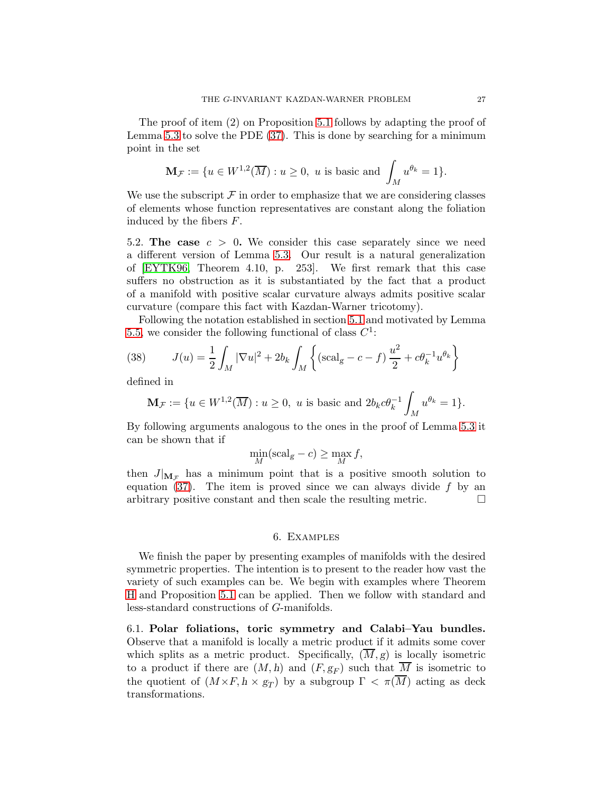The proof of item (2) on Proposition [5.1](#page-20-1) follows by adapting the proof of Lemma [5.3](#page-22-0) to solve the PDE [\(37\)](#page-25-2). This is done by searching for a minimum point in the set

$$
\mathbf{M}_{\mathcal{F}} := \{ u \in W^{1,2}(\overline{M}) : u \ge 0, \ u \text{ is basic and } \int_M u^{\theta_k} = 1 \}.
$$

We use the subscript  $\mathcal F$  in order to emphasize that we are considering classes of elements whose function representatives are constant along the foliation induced by the fibers F.

5.2. The case  $c > 0$ . We consider this case separately since we need a different version of Lemma [5.3.](#page-22-0) Our result is a natural generalization of [\[EYTK96,](#page-35-8) Theorem 4.10, p. 253]. We first remark that this case suffers no obstruction as it is substantiated by the fact that a product of a manifold with positive scalar curvature always admits positive scalar curvature (compare this fact with Kazdan-Warner tricotomy).

Following the notation established in section [5.1](#page-21-4) and motivated by Lemma [5.5,](#page-25-1) we consider the following functional of class  $C^1$ :

(38) 
$$
J(u) = \frac{1}{2} \int_M |\nabla u|^2 + 2b_k \int_M \left\{ (\text{scal}_g - c - f) \frac{u^2}{2} + c\theta_k^{-1} u^{\theta_k} \right\}
$$

defined in

$$
\mathbf{M}_{\mathcal{F}}:=\{u\in W^{1,2}(\overline{M}): u\geq 0, \,\, u \,\,\text{is basic and}\,\, 2b_kc\theta_k^{-1}\int_M u^{\theta_k}=1\}.
$$

By following arguments analogous to the ones in the proof of Lemma [5.3](#page-22-0) it can be shown that if

$$
\min_{M}(\text{scal}_g - c) \ge \max_{M} f,
$$

then  $J|_{\mathbf{M}_{\tau}}$  has a minimum point that is a positive smooth solution to equation  $(37)$ . The item is proved since we can always divide f by an arbitrary positive constant and then scale the resulting metric.  $\Box$ 

#### 6. Examples

<span id="page-26-0"></span>We finish the paper by presenting examples of manifolds with the desired symmetric properties. The intention is to present to the reader how vast the variety of such examples can be. We begin with examples where Theorem [H](#page-4-0) and Proposition [5.1](#page-20-1) can be applied. Then we follow with standard and less-standard constructions of G-manifolds.

<span id="page-26-1"></span>6.1. Polar foliations, toric symmetry and Calabi–Yau bundles. Observe that a manifold is locally a metric product if it admits some cover which splits as a metric product. Specifically,  $(M, g)$  is locally isometric to a product if there are  $(M,h)$  and  $(F,g_F)$  such that  $\overline{M}$  is isometric to the quotient of  $(M \times F, h \times g_T)$  by a subgroup  $\Gamma < \pi(M)$  acting as deck transformations.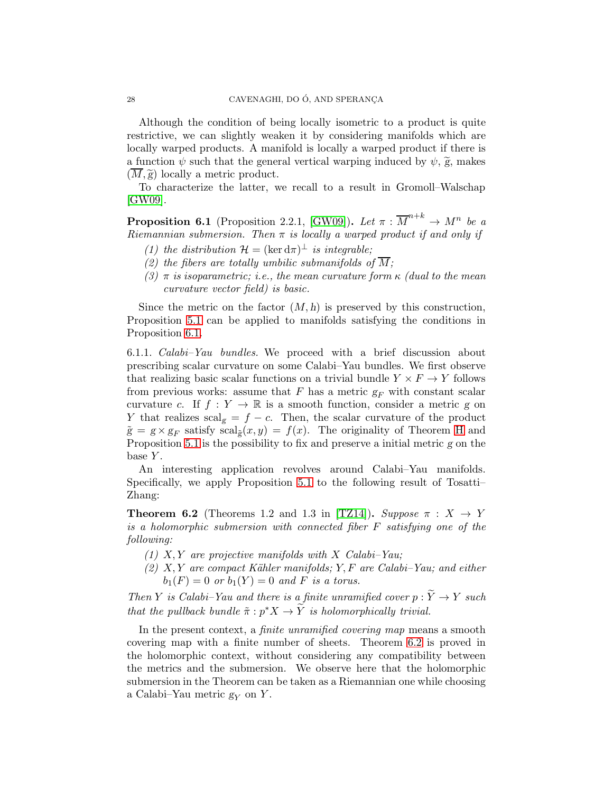Although the condition of being locally isometric to a product is quite restrictive, we can slightly weaken it by considering manifolds which are locally warped products. A manifold is locally a warped product if there is a function  $\psi$  such that the general vertical warping induced by  $\psi$ ,  $\widetilde{g}$ , makes  $(M, \widetilde{g})$  locally a metric product.

To characterize the latter, we recall to a result in Gromoll–Walschap [\[GW09\]](#page-35-15).

<span id="page-27-0"></span>**Proposition 6.1** (Proposition 2.2.1, [\[GW09\]](#page-35-15)). Let  $\pi : \overline{M}^{n+k} \to M^n$  be a Riemannian submersion. Then  $\pi$  is locally a warped product if and only if

- (1) the distribution  $\mathcal{H} = (\ker d\pi)^{\perp}$  is integrable;
- (2) the fibers are totally umbilic submanifolds of  $\overline{M}$ ;
- (3)  $\pi$  is isoparametric; i.e., the mean curvature form  $\kappa$  (dual to the mean curvature vector field) is basic.

Since the metric on the factor  $(M, h)$  is preserved by this construction, Proposition [5.1](#page-20-1) can be applied to manifolds satisfying the conditions in Proposition [6.1.](#page-27-0)

6.1.1. Calabi–Yau bundles. We proceed with a brief discussion about prescribing scalar curvature on some Calabi–Yau bundles. We first observe that realizing basic scalar functions on a trivial bundle  $Y \times F \to Y$  follows from previous works: assume that F has a metric  $g_F$  with constant scalar curvature c. If  $f: Y \to \mathbb{R}$  is a smooth function, consider a metric g on Y that realizes  $\text{scal}_g = f - c$ . Then, the scalar curvature of the product  $\tilde{g} = g \times g_F$  satisfy  $\operatorname{scal}_{\tilde{g}}(x, y) = f(x)$ . The originality of Theorem [H](#page-4-0) and Proposition [5.1](#page-20-1) is the possibility to fix and preserve a initial metric g on the base  $Y$ .

An interesting application revolves around Calabi–Yau manifolds. Specifically, we apply Proposition [5.1](#page-20-1) to the following result of Tosatti– Zhang:

<span id="page-27-1"></span>**Theorem 6.2** (Theorems 1.2 and 1.3 in [\[TZ14\]](#page-36-16)). Suppose  $\pi$  :  $X \rightarrow Y$ is a holomorphic submersion with connected fiber F satisfying one of the following:

- (1)  $X, Y$  are projective manifolds with X Calabi–Yau;
- $(2)$  X, Y are compact Kähler manifolds; Y, F are Calabi–Yau; and either  $b_1(F) = 0$  or  $b_1(Y) = 0$  and F is a torus.

Then Y is Calabi–Yau and there is a finite unramified cover  $p : \widetilde{Y} \to Y$  such that the pullback bundle  $\tilde{\pi}: p^*X \to \tilde{Y}$  is holomorphically trivial.

In the present context, a finite unramified covering map means a smooth covering map with a finite number of sheets. Theorem [6.2](#page-27-1) is proved in the holomorphic context, without considering any compatibility between the metrics and the submersion. We observe here that the holomorphic submersion in the Theorem can be taken as a Riemannian one while choosing a Calabi–Yau metric  $g_Y$  on Y.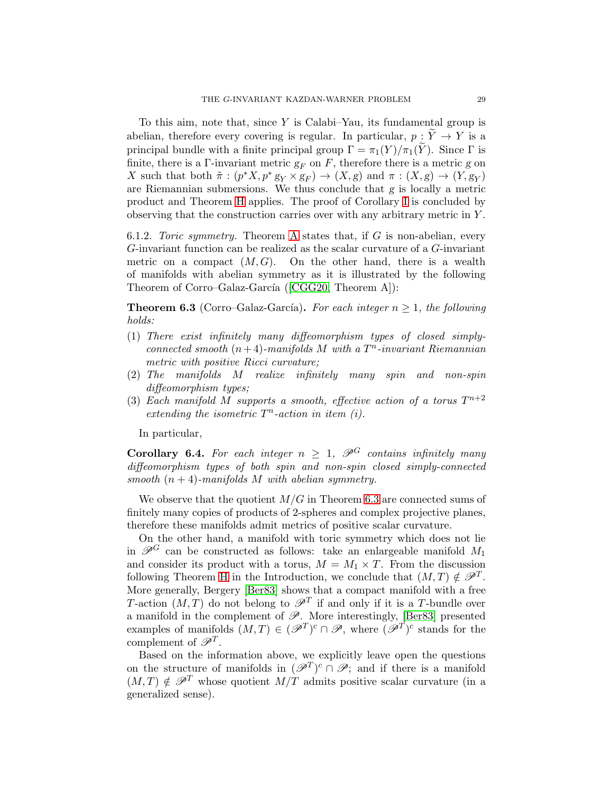To this aim, note that, since  $Y$  is Calabi–Yau, its fundamental group is abelian, therefore every covering is regular. In particular,  $p : \widetilde{Y} \to Y$  is a principal bundle with a finite principal group  $\Gamma = \pi_1(Y)/\pi_1(\widetilde{Y})$ . Since  $\Gamma$  is finite, there is a Γ-invariant metric  $g_F$  on F, therefore there is a metric g on X such that both  $\tilde{\pi} : (p^*X, p^*g_Y \times g_F) \to (X, g)$  and  $\pi : (X, g) \to (Y, g_Y)$ are Riemannian submersions. We thus conclude that g is locally a metric product and Theorem [H](#page-4-0) applies. The proof of Corollary [I](#page-4-1) is concluded by observing that the construction carries over with any arbitrary metric in Y .

6.1.2. Toric symmetry. Theorem [A](#page-1-0) states that, if  $G$  is non-abelian, every G-invariant function can be realized as the scalar curvature of a G-invariant metric on a compact  $(M, G)$ . On the other hand, there is a wealth of manifolds with abelian symmetry as it is illustrated by the following Theoremof Corro–Galaz-García ( $[CGG20, Theorem A]$  $[CGG20, Theorem A]$ ):

<span id="page-28-0"></span>**Theorem 6.3** (Corro–Galaz-García). For each integer  $n \geq 1$ , the following holds:

- (1) There exist infinitely many diffeomorphism types of closed simplyconnected smooth  $(n+4)$ -manifolds M with a  $T<sup>n</sup>$ -invariant Riemannian metric with positive Ricci curvature;
- (2) The manifolds M realize infinitely many spin and non-spin diffeomorphism types;
- (3) Each manifold M supports a smooth, effective action of a torus  $T^{n+2}$ extending the isometric  $T<sup>n</sup>$ -action in item (i).

In particular,

**Corollary 6.4.** For each integer  $n \geq 1$ ,  $\mathcal{P}^G$  contains infinitely many diffeomorphism types of both spin and non-spin closed simply-connected smooth  $(n + 4)$ -manifolds M with abelian symmetry.

We observe that the quotient  $M/G$  in Theorem [6.3](#page-28-0) are connected sums of finitely many copies of products of 2-spheres and complex projective planes, therefore these manifolds admit metrics of positive scalar curvature.

On the other hand, a manifold with toric symmetry which does not lie in  $\mathscr{P}^G$  can be constructed as follows: take an enlargeable manifold  $M_1$ and consider its product with a torus,  $M = M_1 \times T$ . From the discussion following Theorem [H](#page-4-0) in the Introduction, we conclude that  $(M, T) \notin \mathscr{P}^T$ . More generally, Bergery [\[Ber83\]](#page-35-1) shows that a compact manifold with a free T-action  $(M, T)$  do not belong to  $\mathscr{P}^T$  if and only if it is a T-bundle over a manifold in the complement of  $\mathscr{P}$ . More interestingly, [\[Ber83\]](#page-35-1) presented examples of manifolds  $(M,T) \in (\mathscr{P}^T)^c \cap \mathscr{P}$ , where  $(\mathscr{P}^T)^c$  stands for the complement of  $\mathscr{P}^T$ .

Based on the information above, we explicitly leave open the questions on the structure of manifolds in  $(\mathscr{P}^T)^c \cap \mathscr{P}$ ; and if there is a manifold  $(M, T) \notin \mathscr{P}^T$  whose quotient  $M/T$  admits positive scalar curvature (in a generalized sense).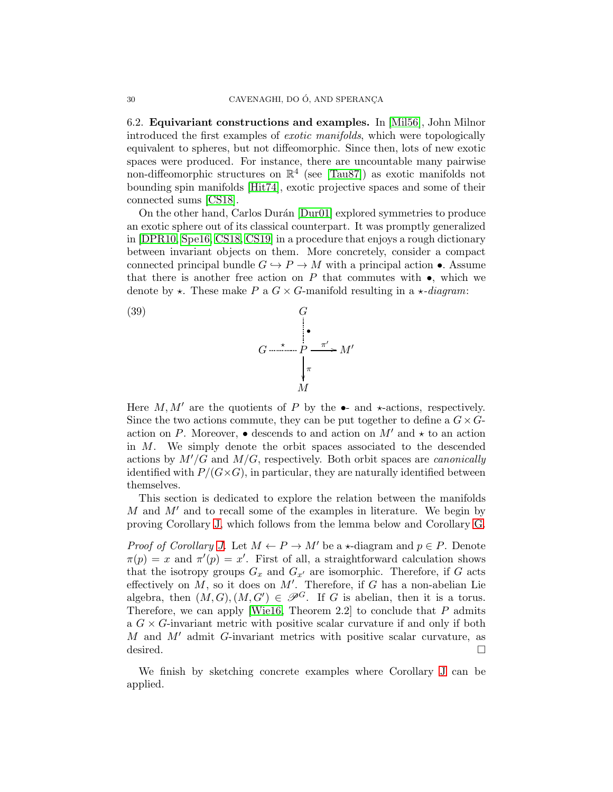<span id="page-29-1"></span>6.2. Equivariant constructions and examples. In [\[Mil56\]](#page-36-3), John Milnor introduced the first examples of exotic manifolds, which were topologically equivalent to spheres, but not diffeomorphic. Since then, lots of new exotic spaces were produced. For instance, there are uncountable many pairwise non-diffeomorphic structures on  $\mathbb{R}^4$  (see [\[Tau87\]](#page-36-21)) as exotic manifolds not bounding spin manifolds [\[Hit74\]](#page-36-22), exotic projective spaces and some of their connected sums [\[CS18\]](#page-35-11).

On the other hand, Carlos Durán [\[Dur01\]](#page-35-9) explored symmetries to produce an exotic sphere out of its classical counterpart. It was promptly generalized in [\[DPR10,](#page-35-10) [Spe16,](#page-36-17) [CS18,](#page-35-11) [CS19\]](#page-35-20) in a procedure that enjoys a rough dictionary between invariant objects on them. More concretely, consider a compact connected principal bundle  $G \hookrightarrow P \to M$  with a principal action •. Assume that there is another free action on  $P$  that commutes with  $\bullet$ , which we denote by  $\star$ . These make P a  $G \times G$ -manifold resulting in a  $\star$ -diagram:

<span id="page-29-0"></span>

Here  $M, M'$  are the quotients of P by the  $\bullet$ - and  $\star$ -actions, respectively. Since the two actions commute, they can be put together to define a  $G \times G$ action on P. Moreover,  $\bullet$  descends to and action on  $M'$  and  $\star$  to an action in M. We simply denote the orbit spaces associated to the descended actions by  $M'/G$  and  $M/G$ , respectively. Both orbit spaces are *canonically* identified with  $P/(G \times G)$ , in particular, they are naturally identified between themselves.

This section is dedicated to explore the relation between the manifolds  $M$  and  $M'$  and to recall some of the examples in literature. We begin by proving Corollary [J,](#page-5-0) which follows from the lemma below and Corollary [G.](#page-3-2)

*Proof of Corollary [J.](#page-5-0)* Let  $M \leftarrow P \rightarrow M'$  be a  $\star$ -diagram and  $p \in P$ . Denote  $\pi(p) = x$  and  $\pi'(p) = x'$ . First of all, a straightforward calculation shows that the isotropy groups  $G_x$  and  $G_{x'}$  are isomorphic. Therefore, if G acts effectively on  $M$ , so it does on  $M'$ . Therefore, if G has a non-abelian Lie algebra, then  $(M, G), (M, G') \in \mathscr{P}^G$ . If G is abelian, then it is a torus. Therefore, we can apply [\[Wie16,](#page-36-15) Theorem 2.2] to conclude that  $P$  admits a  $G \times G$ -invariant metric with positive scalar curvature if and only if both  $M$  and  $M'$  admit G-invariant metrics with positive scalar curvature, as desired.  $\Box$ 

We finish by sketching concrete examples where Corollary [J](#page-5-0) can be applied.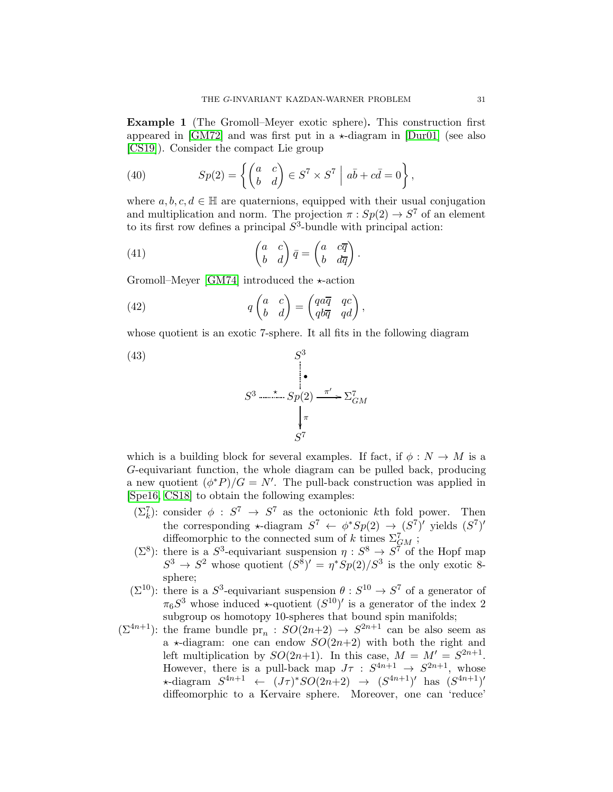Example 1 (The Gromoll–Meyer exotic sphere). This construction first appeared in [\[GM72\]](#page-35-21) and was first put in a  $\star$ -diagram in [\[Dur01\]](#page-35-9) (see also [\[CS19\]](#page-35-20)). Consider the compact Lie group

(40) 
$$
Sp(2) = \left\{ \begin{pmatrix} a & c \\ b & d \end{pmatrix} \in S^7 \times S^7 \middle| a\overline{b} + c\overline{d} = 0 \right\},
$$

where  $a, b, c, d \in \mathbb{H}$  are quaternions, equipped with their usual conjugation and multiplication and norm. The projection  $\pi : Sp(2) \to S^7$  of an element to its first row defines a principal  $S^3$ -bundle with principal action:

(41) 
$$
\begin{pmatrix} a & c \\ b & d \end{pmatrix} \overline{q} = \begin{pmatrix} a & c\overline{q} \\ b & d\overline{q} \end{pmatrix}.
$$

Gromoll–Meyer [\[GM74\]](#page-35-22) introduced the  $\star$ -action

(42) 
$$
q \begin{pmatrix} a & c \\ b & d \end{pmatrix} = \begin{pmatrix} qa\overline{q} & qc \\ qb\overline{q} & qd \end{pmatrix},
$$

whose quotient is an exotic 7-sphere. It all fits in the following diagram

(43)  
\n
$$
S^{3} \xrightarrow{\pi} Sp(2) \xrightarrow{\pi'} \Sigma_{GM}^{7}
$$
\n
$$
\downarrow_{\pi}^{7}
$$
\n
$$
S^{7}
$$

which is a building block for several examples. If fact, if  $\phi : N \to M$  is a G-equivariant function, the whole diagram can be pulled back, producing a new quotient  $(\phi^*P)/G = N'$ . The pull-back construction was applied in [\[Spe16,](#page-36-17) [CS18\]](#page-35-11) to obtain the following examples:

- $(\Sigma_k^7)$ : consider  $\phi : S^7 \to S^7$  as the octonionic kth fold power. Then the corresponding  $\star$ -diagram  $S^7 \leftarrow \phi^*Sp(2) \rightarrow (S^7)'$  yields  $(S^7)'$ diffeomorphic to the connected sum of k times  $\Sigma_{GM}^7$ ;
- $(\Sigma^8)$ : there is a  $S^3$ -equivariant suspension  $\eta: S^8 \to S^7$  of the Hopf map  $S^3 \to S^2$  whose quotient  $(S^8)' = \eta^* Sp(2)/S^3$  is the only exotic 8sphere;
- $(\Sigma^{10})$ : there is a  $S^3$ -equivariant suspension  $\theta : S^{10} \to S^7$  of a generator of  $\pi_6S^3$  whose induced  $\star$ -quotient  $(S^{10})'$  is a generator of the index 2 subgroup os homotopy 10-spheres that bound spin manifolds;
- $(\Sigma^{4n+1})$ : the frame bundle pr<sub>n</sub>:  $SO(2n+2) \rightarrow S^{2n+1}$  can be also seem as a  $\star$ -diagram: one can endow  $SO(2n+2)$  with both the right and left multiplication by  $SO(2n+1)$ . In this case,  $M = M' = S^{2n+1}$ . However, there is a pull-back map  $J\tau : S^{4n+1} \to S^{2n+1}$ , whose \*-diagram  $S^{4n+1}$  ←  $(J\tau)^*SO(2n+2)$  →  $(S^{4n+1})'$  has  $(S^{4n+1})'$ diffeomorphic to a Kervaire sphere. Moreover, one can 'reduce'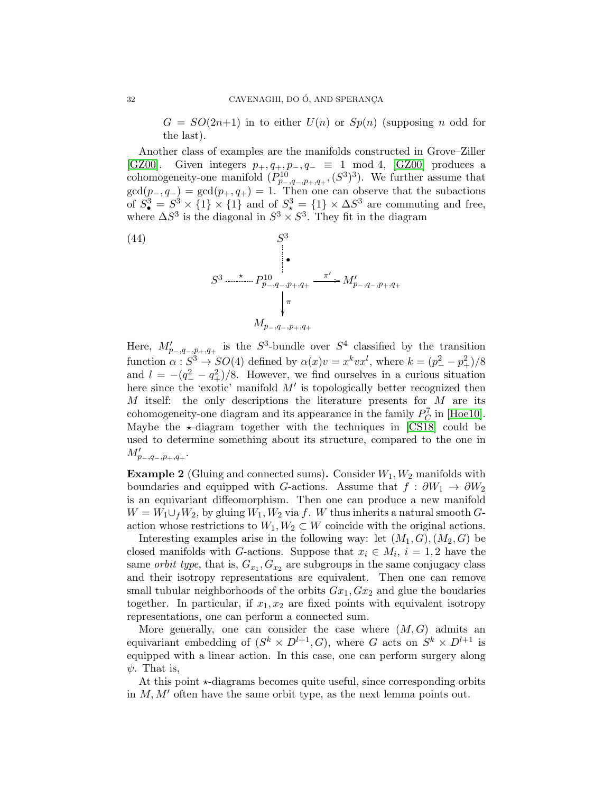$G = SO(2n+1)$  in to either  $U(n)$  or  $Sp(n)$  (supposing n odd for the last).

Another class of examples are the manifolds constructed in Grove–Ziller [\[GZ00\]](#page-35-6). Given integers  $p_+, q_+, p_-, q_- \equiv 1 \mod 4$ , [\[GZ00\]](#page-35-6) produces a cohomogeneity-one manifold  $(P_{p_-,q_-,p_+,q_+}^{10}, (S^3)^3)$ . We further assume that  $gcd(p_-, q_-) = gcd(p_+, q_+) = 1$ . Then one can observe that the subactions of  $S^3_{\bullet} = S^3 \times \{1\} \times \{1\}$  and of  $S^3_{\star} = \{1\} \times \Delta S^3$  are commuting and free, where  $\Delta S^3$  is the diagonal in  $S^3 \times S^3$ . They fit in the diagram



Here,  $M'_{p-,q-,p+,q+}$  is the  $S^3$ -bundle over  $S^4$  classified by the transition function  $\alpha : S^3 \to SO(4)$  defined by  $\alpha(x)v = x^k v x^l$ , where  $k = (p_-^2 - p_+^2)/8$ and  $l = -(q_-^2 - q_+^2)/8$ . However, we find ourselves in a curious situation here since the 'exotic' manifold  $M'$  is topologically better recognized then  $M$  itself: the only descriptions the literature presents for  $M$  are its cohomogeneity-one diagram and its appearance in the family  $P_C^7$  in [\[Hoe10\]](#page-36-23). Maybe the  $\star$ -diagram together with the techniques in [\[CS18\]](#page-35-11) could be used to determine something about its structure, compared to the one in  $M'_{p_-,q_-,p_+,q_+}.$ 

**Example 2** (Gluing and connected sums). Consider  $W_1, W_2$  manifolds with boundaries and equipped with G-actions. Assume that  $f : \partial W_1 \to \partial W_2$ is an equivariant diffeomorphism. Then one can produce a new manifold  $W = W_1 \cup_f W_2$ , by gluing  $W_1, W_2$  via f. W thus inherits a natural smooth Gaction whose restrictions to  $W_1, W_2 \subset W$  coincide with the original actions.

Interesting examples arise in the following way: let  $(M_1, G), (M_2, G)$  be closed manifolds with G-actions. Suppose that  $x_i \in M_i$ ,  $i = 1, 2$  have the same *orbit type*, that is,  $G_{x_1}, G_{x_2}$  are subgroups in the same conjugacy class and their isotropy representations are equivalent. Then one can remove small tubular neighborhoods of the orbits  $Gx_1, Gx_2$  and glue the boudaries together. In particular, if  $x_1, x_2$  are fixed points with equivalent isotropy representations, one can perform a connected sum.

More generally, one can consider the case where  $(M, G)$  admits an equivariant embedding of  $(S^k \times D^{l+1}, G)$ , where G acts on  $S^k \times D^{l+1}$  is equipped with a linear action. In this case, one can perform surgery along  $\psi$ . That is,

At this point  $\star$ -diagrams becomes quite useful, since corresponding orbits in  $M, M'$  often have the same orbit type, as the next lemma points out.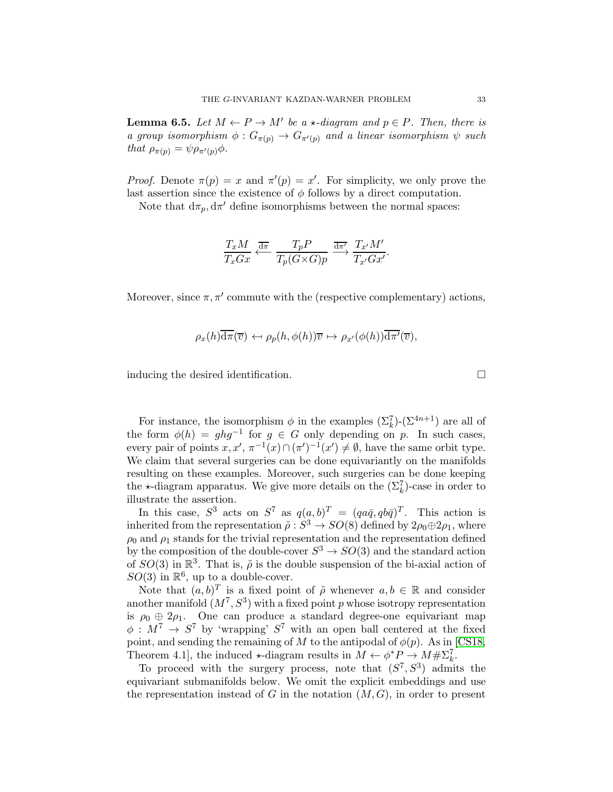**Lemma 6.5.** Let  $M \leftarrow P \rightarrow M'$  be a  $\star$ -diagram and  $p \in P$ . Then, there is a group isomorphism  $\phi: G_{\pi(p)} \to G_{\pi'(p)}$  and a linear isomorphism  $\psi$  such that  $\rho_{\pi(p)} = \psi \rho_{\pi'(p)} \phi$ .

*Proof.* Denote  $\pi(p) = x$  and  $\pi'(p) = x'$ . For simplicity, we only prove the last assertion since the existence of  $\phi$  follows by a direct computation.

Note that  $d\pi_p, d\pi'$  define isomorphisms between the normal spaces:

$$
\frac{T_x M}{T_x G x} \xleftarrow{\overline{\mathrm{d} \pi}} \frac{T_p P}{T_p (G \times G) p} \xrightarrow{\overline{\mathrm{d} \pi'}} \frac{T_{x'} M'}{T_{x'} G x'}.
$$

Moreover, since  $\pi, \pi'$  commute with the (respective complementary) actions,

$$
\rho_x(h)\overline{\mathrm{d}\pi}(\overline{v}) \leftrightarrow \rho_p(h,\phi(h))\overline{v} \mapsto \rho_{x'}(\phi(h))\overline{\mathrm{d}\pi'}(\overline{v}),
$$

inducing the desired identification.

For instance, the isomorphism  $\phi$  in the examples  $(\Sigma_k^7)$ - $(\Sigma^{4n+1})$  are all of the form  $\phi(h) = ghg^{-1}$  for  $g \in G$  only depending on p. In such cases, every pair of points  $x, x', \pi^{-1}(x) \cap (\pi')^{-1}(x') \neq \emptyset$ , have the same orbit type. We claim that several surgeries can be done equivariantly on the manifolds resulting on these examples. Moreover, such surgeries can be done keeping the  $\star$ -diagram apparatus. We give more details on the  $(\Sigma_k^7)$ -case in order to illustrate the assertion.

In this case,  $S^3$  acts on  $S^7$  as  $q(a, b)^T = (qa\bar{q}, qb\bar{q})^T$ . This action is inherited from the representation  $\tilde{\rho}: S^3 \to SO(8)$  defined by  $2\rho_0 \oplus 2\rho_1$ , where  $\rho_0$  and  $\rho_1$  stands for the trivial representation and the representation defined by the composition of the double-cover  $S^3 \to SO(3)$  and the standard action of  $SO(3)$  in  $\mathbb{R}^3$ . That is,  $\tilde{\rho}$  is the double suspension of the bi-axial action of  $SO(3)$  in  $\mathbb{R}^6$ , up to a double-cover.

Note that  $(a, b)^T$  is a fixed point of  $\tilde{\rho}$  whenever  $a, b \in \mathbb{R}$  and consider another manifold  $(M^7, S^3)$  with a fixed point p whose isotropy representation is  $\rho_0 \oplus 2\rho_1$ . One can produce a standard degree-one equivariant map  $\phi: M^7 \to S^7$  by 'wrapping'  $S^7$  with an open ball centered at the fixed point, and sending the remaining of M to the antipodal of  $\phi(p)$ . As in [\[CS18,](#page-35-11) Theorem 4.1, the induced  $\star$ -diagram results in  $M \leftarrow \phi^* P \rightarrow M \# \Sigma_k^7$ .

To proceed with the surgery process, note that  $(S^7, S^3)$  admits the equivariant submanifolds below. We omit the explicit embeddings and use the representation instead of G in the notation  $(M, G)$ , in order to present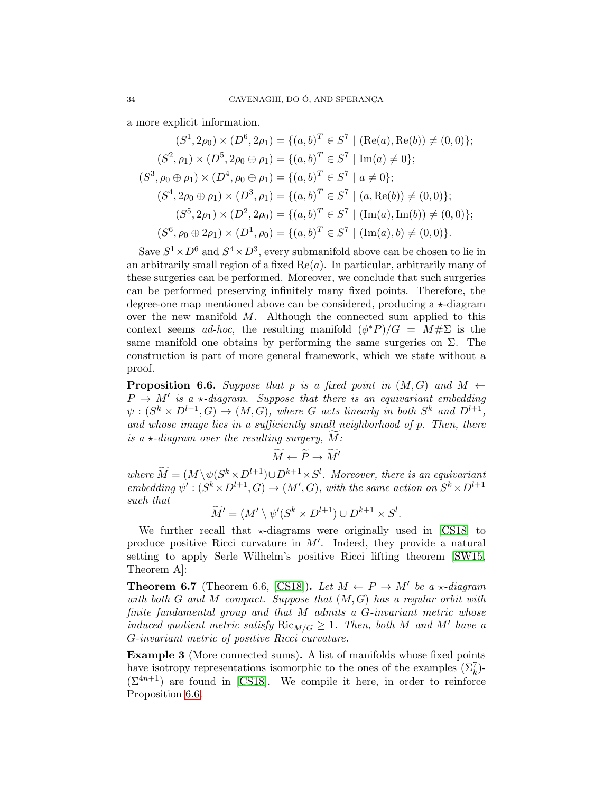a more explicit information.

$$
(S^1, 2\rho_0) \times (D^6, 2\rho_1) = \{(a, b)^T \in S^7 \mid (\text{Re}(a), \text{Re}(b)) \neq (0, 0)\};
$$
  
\n
$$
(S^2, \rho_1) \times (D^5, 2\rho_0 \oplus \rho_1) = \{(a, b)^T \in S^7 \mid \text{Im}(a) \neq 0\};
$$
  
\n
$$
(S^3, \rho_0 \oplus \rho_1) \times (D^4, \rho_0 \oplus \rho_1) = \{(a, b)^T \in S^7 \mid a \neq 0\};
$$
  
\n
$$
(S^4, 2\rho_0 \oplus \rho_1) \times (D^3, \rho_1) = \{(a, b)^T \in S^7 \mid (a, \text{Re}(b)) \neq (0, 0)\};
$$
  
\n
$$
(S^5, 2\rho_1) \times (D^2, 2\rho_0) = \{(a, b)^T \in S^7 \mid (\text{Im}(a), \text{Im}(b)) \neq (0, 0)\};
$$
  
\n
$$
(S^6, \rho_0 \oplus 2\rho_1) \times (D^1, \rho_0) = \{(a, b)^T \in S^7 \mid (\text{Im}(a), b) \neq (0, 0)\}.
$$

Save  $S^1 \times D^6$  and  $S^4 \times D^3$ , every submanifold above can be chosen to lie in an arbitrarily small region of a fixed  $Re(a)$ . In particular, arbitrarily many of these surgeries can be performed. Moreover, we conclude that such surgeries can be performed preserving infinitely many fixed points. Therefore, the degree-one map mentioned above can be considered, producing a  $\star$ -diagram over the new manifold  $M$ . Although the connected sum applied to this context seems *ad-hoc*, the resulting manifold  $(\phi^* P)/G = M \# \Sigma$  is the same manifold one obtains by performing the same surgeries on  $\Sigma$ . The construction is part of more general framework, which we state without a proof.

<span id="page-33-0"></span>**Proposition 6.6.** Suppose that p is a fixed point in  $(M, G)$  and  $M \leftarrow$  $P \rightarrow M'$  is a  $\star$ -diagram. Suppose that there is an equivariant embedding  $\psi: (S^k \times D^{l+1}, G) \to (M, G)$ , where G acts linearly in both  $S^k$  and  $D^{l+1}$ , and whose image lies in a sufficiently small neighborhood of p. Then, there is a  $\star$ -diagram over the resulting surgery, M:

$$
\widetilde{M} \leftarrow \widetilde{P} \rightarrow \widetilde{M}'
$$

where  $\tilde{M} = (M \setminus \psi(S^k \times D^{l+1}) \cup D^{k+1} \times S^l$ . Moreover, there is an equivariant embedding  $\psi': (S^k \times D^{l+1}, G) \to (M', G)$ , with the same action on  $S^k \times D^{l+1}$ such that

$$
\widetilde{M}' = (M' \setminus \psi'(S^k \times D^{l+1}) \cup D^{k+1} \times S^l.
$$

We further recall that  $\star$ -diagrams were originally used in [\[CS18\]](#page-35-11) to produce positive Ricci curvature in  $M'$ . Indeed, they provide a natural setting to apply Serle–Wilhelm's positive Ricci lifting theorem [\[SW15,](#page-36-20) Theorem A]:

**Theorem 6.7** (Theorem 6.6, [\[CS18\]](#page-35-11)). Let  $M \leftarrow P \rightarrow M'$  be a  $\star$ -diagram with both  $G$  and  $M$  compact. Suppose that  $(M, G)$  has a regular orbit with finite fundamental group and that M admits a G-invariant metric whose induced quotient metric satisfy  $\text{Ric}_{M/G} \geq 1$ . Then, both M and M' have a G-invariant metric of positive Ricci curvature.

Example 3 (More connected sums). A list of manifolds whose fixed points have isotropy representations isomorphic to the ones of the examples  $(\Sigma_k^7)$ - $(\Sigma^{4n+1})$  are found in [\[CS18\]](#page-35-11). We compile it here, in order to reinforce Proposition [6.6.](#page-33-0)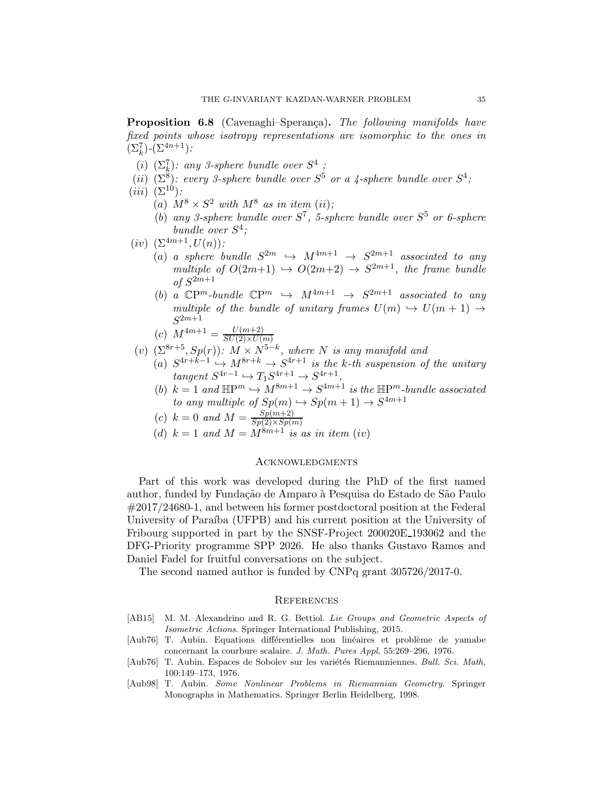**Proposition 6.8** (Cavenaghi–Sperança). The following manifolds have fixed points whose isotropy representations are isomorphic to the ones in  $(\Sigma_k^7)$ - $(\Sigma^{4n+1})$ :

- (i)  $(\Sigma_k^7)$ : any 3-sphere bundle over  $S^4$ ;
- (ii)  $(\Sigma^8)$ : every 3-sphere bundle over  $S^5$  or a 4-sphere bundle over  $S^4$ ;
- $(iii)$   $(\Sigma^{10})$ :
	- (a)  $M^8 \times S^2$  with  $M^8$  as in item (ii);
	- (b) any 3-sphere bundle over  $S^7$ , 5-sphere bundle over  $S^5$  or 6-sphere bundle over  $S^4$ ;
- (iv)  $(\Sigma^{4m+1}, U(n))$ :
	- (a) a sphere bundle  $S^{2m} \hookrightarrow M^{4m+1} \rightarrow S^{2m+1}$  associated to any multiple of  $O(2m+1) \rightarrow O(2m+2) \rightarrow S^{2m+1}$ , the frame bundle of  $S^{2m+1}$
	- (b) a  $\mathbb{C}P^m$ -bundle  $\mathbb{C}P^m \hookrightarrow M^{4m+1} \rightarrow S^{2m+1}$  associated to any multiple of the bundle of unitary frames  $U(m) \hookrightarrow U(m+1) \rightarrow$  $S^{2m+1}$
	- (c)  $M^{4m+1} = \frac{U(m+2)}{SU(2)\times U(n+1)}$  $SU(2)\times U(m)$
- (v)  $(\Sigma^{8r+5}, Sp(r))$ :  $M \times N^{5-k}$ , where N is any manifold and
	- (a)  $S^{4r+k-1} \hookrightarrow M^{8r+k} \to S^{4r+1}$  is the k-th suspension of the unitary  $tangent S^{4r-1} \hookrightarrow T_1S^{4r+1} \rightarrow S^{4r+1}$ ,
	- (b)  $k = 1$  and  $\mathbb{H}P^m \hookrightarrow M^{8m+1} \to S^{4m+1}$  is the  $\mathbb{H}P^m$ -bundle associated to any multiple of  $Sp(m) \hookrightarrow Sp(m+1) \to S^{4m+1}$

(c) 
$$
k = 0 \text{ and } M = \frac{Sp(m+2)}{Sp(2)\times Sp(m)}
$$

(d)  $k = 1$  and  $M = M^{8m+1}$  is as in item (iv)

## **ACKNOWLEDGMENTS**

Part of this work was developed during the PhD of the first named author, funded by Fundação de Amparo à Pesquisa do Estado de São Paulo #2017/24680-1, and between his former postdoctoral position at the Federal University of Paraíba (UFPB) and his current position at the University of Fribourg supported in part by the SNSF-Project 200020E 193062 and the DFG-Priority programme SPP 2026. He also thanks Gustavo Ramos and Daniel Fadel for fruitful conversations on the subject.

The second named author is funded by CNPq grant 305726/2017-0.

## **REFERENCES**

- <span id="page-34-1"></span>[AB15] M. M. Alexandrino and R. G. Bettiol. Lie Groups and Geometric Aspects of Isometric Actions. Springer International Publishing, 2015.
- <span id="page-34-0"></span>[Aub76] T. Aubin. Equations differentielles non linéaires et problème de yamabe concernant la courbure scalaire. J. Math. Pures Appl, 55:269–296, 1976.
- [Aub76] T. Aubin. Espaces de Sobolev sur les variétés Riemanniennes. Bull. Sci. Math, 100:149–173, 1976.
- <span id="page-34-2"></span>[Aub98] T. Aubin. Some Nonlinear Problems in Riemannian Geometry. Springer Monographs in Mathematics. Springer Berlin Heidelberg, 1998.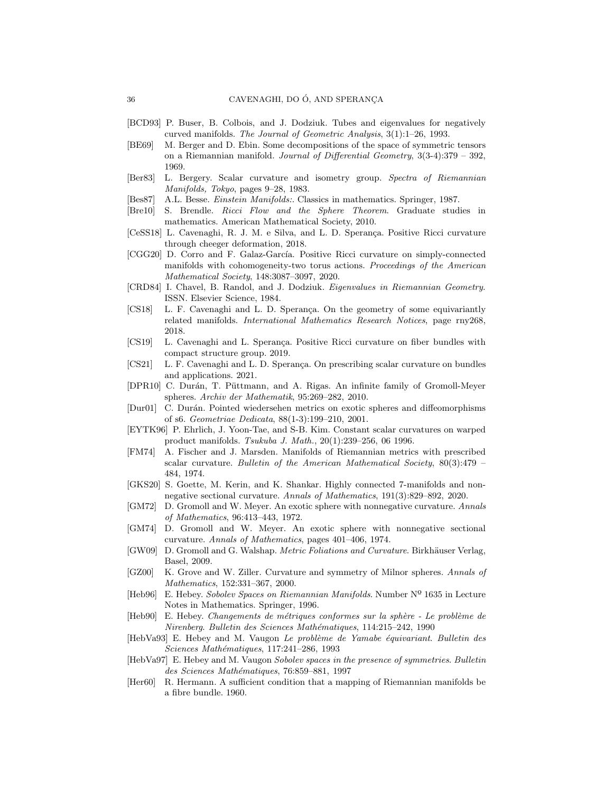- [BCD93] P. Buser, B. Colbois, and J. Dodziuk. Tubes and eigenvalues for negatively curved manifolds. The Journal of Geometric Analysis, 3(1):1–26, 1993.
- <span id="page-35-14"></span>[BE69] M. Berger and D. Ebin. Some decompositions of the space of symmetric tensors on a Riemannian manifold. Journal of Differential Geometry,  $3(3-4):379 - 392$ , 1969.
- <span id="page-35-1"></span>[Ber83] L. Bergery. Scalar curvature and isometry group. Spectra of Riemannian Manifolds, Tokyo, pages 9–28, 1983.
- <span id="page-35-16"></span>[Bes87] A.L. Besse. Einstein Manifolds:. Classics in mathematics. Springer, 1987.
- <span id="page-35-0"></span>[Bre10] S. Brendle. Ricci Flow and the Sphere Theorem. Graduate studies in mathematics. American Mathematical Society, 2010.
- <span id="page-35-5"></span>[CeSS18] L. Cavenaghi, R. J. M. e Silva, and L. D. Sperança. Positive Ricci curvature through cheeger deformation, 2018.
- <span id="page-35-19"></span>[CGG20] D. Corro and F. Galaz-García. Positive Ricci curvature on simply-connected manifolds with cohomogeneity-two torus actions. Proceedings of the American Mathematical Society, 148:3087–3097, 2020.
- [CRD84] I. Chavel, B. Randol, and J. Dodziuk. Eigenvalues in Riemannian Geometry. ISSN. Elsevier Science, 1984.
- <span id="page-35-11"></span>[CS18] L. F. Cavenaghi and L. D. Sperança. On the geometry of some equivariantly related manifolds. International Mathematics Research Notices, page rny268, 2018.
- <span id="page-35-20"></span>[CS19] L. Cavenaghi and L. Sperança. Positive Ricci curvature on fiber bundles with compact structure group. 2019.
- <span id="page-35-17"></span>[CS21] L. F. Cavenaghi and L. D. Sperança. On prescribing scalar curvature on bundles and applications. 2021.
- <span id="page-35-10"></span>[DPR10] C. Durán, T. Püttmann, and A. Rigas. An infinite family of Gromoll-Meyer spheres. Archiv der Mathematik, 95:269–282, 2010.
- <span id="page-35-9"></span>[Dur01] C. Durán. Pointed wiedersehen metrics on exotic spheres and diffeomorphisms of s6. Geometriae Dedicata, 88(1-3):199–210, 2001.
- <span id="page-35-8"></span>[EYTK96] P. Ehrlich, J. Yoon-Tae, and S-B. Kim. Constant scalar curvatures on warped product manifolds. Tsukuba J. Math., 20(1):239–256, 06 1996.
- <span id="page-35-13"></span>[FM74] A. Fischer and J. Marsden. Manifolds of Riemannian metrics with prescribed scalar curvature. Bulletin of the American Mathematical Society, 80(3):479 – 484, 1974.
- <span id="page-35-7"></span>[GKS20] S. Goette, M. Kerin, and K. Shankar. Highly connected 7-manifolds and nonnegative sectional curvature. Annals of Mathematics, 191(3):829–892, 2020.
- <span id="page-35-21"></span>[GM72] D. Gromoll and W. Meyer. An exotic sphere with nonnegative curvature. Annals of Mathematics, 96:413–443, 1972.
- <span id="page-35-22"></span>[GM74] D. Gromoll and W. Meyer. An exotic sphere with nonnegative sectional curvature. Annals of Mathematics, pages 401–406, 1974.
- <span id="page-35-15"></span>[GW09] D. Gromoll and G. Walshap. Metric Foliations and Curvature. Birkhäuser Verlag, Basel, 2009.
- <span id="page-35-6"></span>[GZ00] K. Grove and W. Ziller. Curvature and symmetry of Milnor spheres. Annals of Mathematics, 152:331–367, 2000.
- <span id="page-35-12"></span>[Heb96] E. Hebey. Sobolev Spaces on Riemannian Manifolds. Number Nº 1635 in Lecture Notes in Mathematics. Springer, 1996.
- <span id="page-35-2"></span>[Heb90] E. Hebey. Changements de métriques conformes sur la sphère - Le problème de Nirenberg. Bulletin des Sciences Mathématiques, 114:215–242, 1990
- <span id="page-35-3"></span>[HebVa93] E. Hebey and M. Vaugon Le problème de Yamabe équivariant. Bulletin des Sciences Mathématiques, 117:241-286, 1993
- <span id="page-35-4"></span>[HebVa97] E. Hebey and M. Vaugon Sobolev spaces in the presence of symmetries. Bulletin des Sciences Mathématiques, 76:859-881, 1997
- <span id="page-35-18"></span>[Her60] R. Hermann. A sufficient condition that a mapping of Riemannian manifolds be a fibre bundle. 1960.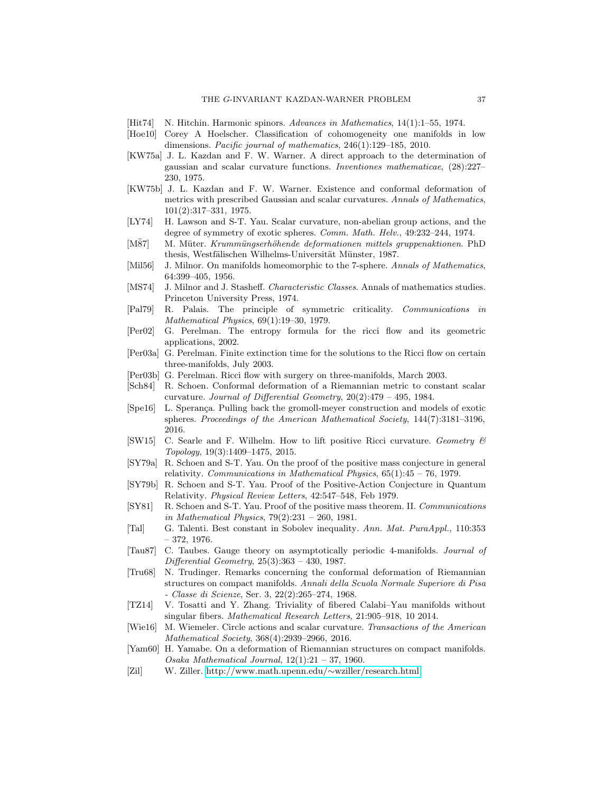- <span id="page-36-22"></span>[Hit74] N. Hitchin. Harmonic spinors. Advances in Mathematics, 14(1):1–55, 1974.
- <span id="page-36-23"></span>[Hoe10] Corey A Hoelscher. Classification of cohomogeneity one manifolds in low dimensions. Pacific journal of mathematics, 246(1):129–185, 2010.
- <span id="page-36-10"></span>[KW75a] J. L. Kazdan and F. W. Warner. A direct approach to the determination of gaussian and scalar curvature functions. Inventiones mathematicae, (28):227– 230, 1975.
- <span id="page-36-11"></span>[KW75b] J. L. Kazdan and F. W. Warner. Existence and conformal deformation of metrics with prescribed Gaussian and scalar curvatures. Annals of Mathematics, 101(2):317–331, 1975.
- <span id="page-36-12"></span>[LY74] H. Lawson and S-T. Yau. Scalar curvature, non-abelian group actions, and the degree of symmetry of exotic spheres. Comm. Math. Helv., 49:232–244, 1974.
- <span id="page-36-14"></span>[M87] M. Müter. Krummüngserhöhende deformationen mittels gruppenaktionen. PhD thesis, Westfälischen Wilhelms-Universität Münster, 1987.
- <span id="page-36-3"></span>[Mil56] J. Milnor. On manifolds homeomorphic to the 7-sphere. Annals of Mathematics, 64:399–405, 1956.
- <span id="page-36-18"></span>[MS74] J. Milnor and J. Stasheff. Characteristic Classes. Annals of mathematics studies. Princeton University Press, 1974.
- <span id="page-36-19"></span>[Pal79] R. Palais. The principle of symmetric criticality. Communications in Mathematical Physics, 69(1):19–30, 1979.
- <span id="page-36-0"></span>[Per02] G. Perelman. The entropy formula for the ricci flow and its geometric applications, 2002.
- <span id="page-36-1"></span>[Per03a] G. Perelman. Finite extinction time for the solutions to the Ricci flow on certain three-manifolds, July 2003.
- <span id="page-36-2"></span>[Per03b] G. Perelman. Ricci flow with surgery on three-manifolds, March 2003.
- <span id="page-36-6"></span>[Sch84] R. Schoen. Conformal deformation of a Riemannian metric to constant scalar curvature. Journal of Differential Geometry,  $20(2):479 - 495$ , 1984.
- <span id="page-36-17"></span>[Spe16] L. Sperança. Pulling back the gromoll-meyer construction and models of exotic spheres. Proceedings of the American Mathematical Society, 144(7):3181–3196, 2016.
- <span id="page-36-20"></span>[SW15] C. Searle and F. Wilhelm. How to lift positive Ricci curvature. Geometry & Topology, 19(3):1409–1475, 2015.
- <span id="page-36-7"></span>[SY79a] R. Schoen and S-T. Yau. On the proof of the positive mass conjecture in general relativity. Communications in Mathematical Physics,  $65(1):45 - 76$ , 1979.
- <span id="page-36-8"></span>[SY79b] R. Schoen and S-T. Yau. Proof of the Positive-Action Conjecture in Quantum Relativity. Physical Review Letters, 42:547–548, Feb 1979.
- <span id="page-36-9"></span>[SY81] R. Schoen and S-T. Yau. Proof of the positive mass theorem. II. Communications in Mathematical Physics, 79(2):231 – 260, 1981.
- [Tal] G. Talenti. Best constant in Sobolev inequality. Ann. Mat. PuraAppl., 110:353 – 372, 1976.
- <span id="page-36-21"></span>[Tau87] C. Taubes. Gauge theory on asymptotically periodic 4-manifolds. Journal of Differential Geometry, 25(3):363 – 430, 1987.
- <span id="page-36-5"></span>[Tru68] N. Trudinger. Remarks concerning the conformal deformation of Riemannian structures on compact manifolds. Annali della Scuola Normale Superiore di Pisa - Classe di Scienze, Ser. 3, 22(2):265–274, 1968.
- <span id="page-36-16"></span>[TZ14] V. Tosatti and Y. Zhang. Triviality of fibered Calabi–Yau manifolds without singular fibers. Mathematical Research Letters, 21:905–918, 10 2014.
- <span id="page-36-15"></span>[Wie16] M. Wiemeler. Circle actions and scalar curvature. Transactions of the American Mathematical Society, 368(4):2939–2966, 2016.
- <span id="page-36-4"></span>[Yam60] H. Yamabe. On a deformation of Riemannian structures on compact manifolds. Osaka Mathematical Journal,  $12(1):21 - 37$ , 1960.
- <span id="page-36-13"></span>[Zil] W. Ziller. [http://www.math.upenn.edu/](http://www.math.upenn.edu/~wziller/research.html)∼wziller/research.html.